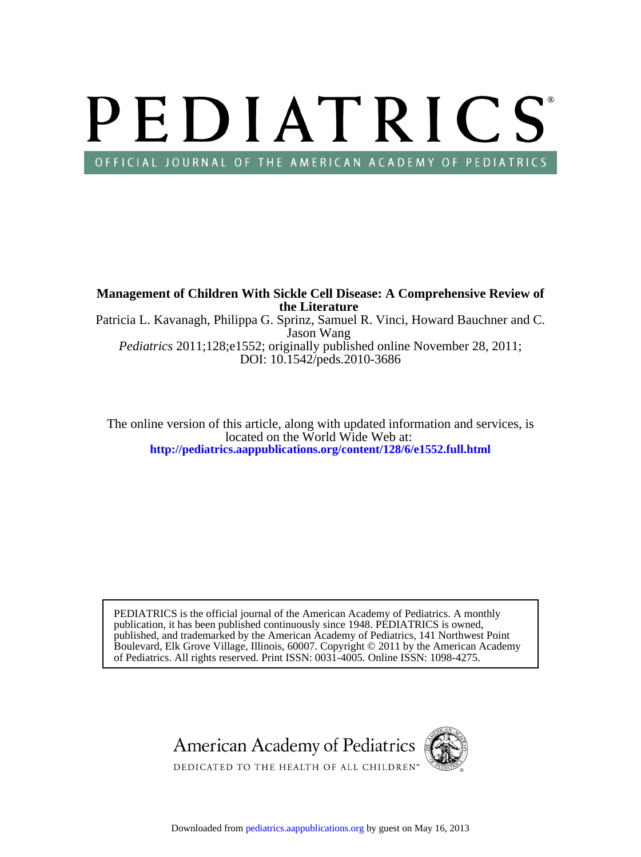# PEDIATRICS OFFICIAL JOURNAL OF THE AMERICAN ACADEMY OF PEDIATRICS

DOI: 10.1542/peds.2010-3686 *Pediatrics* 2011;128;e1552; originally published online November 28, 2011; Jason Wang Patricia L. Kavanagh, Philippa G. Sprinz, Samuel R. Vinci, Howard Bauchner and C. **the Literature Management of Children With Sickle Cell Disease: A Comprehensive Review of**

**<http://pediatrics.aappublications.org/content/128/6/e1552.full.html>** located on the World Wide Web at: The online version of this article, along with updated information and services, is

of Pediatrics. All rights reserved. Print ISSN: 0031-4005. Online ISSN: 1098-4275. Boulevard, Elk Grove Village, Illinois, 60007. Copyright © 2011 by the American Academy published, and trademarked by the American Academy of Pediatrics, 141 Northwest Point publication, it has been published continuously since 1948. PEDIATRICS is owned, PEDIATRICS is the official journal of the American Academy of Pediatrics. A monthly

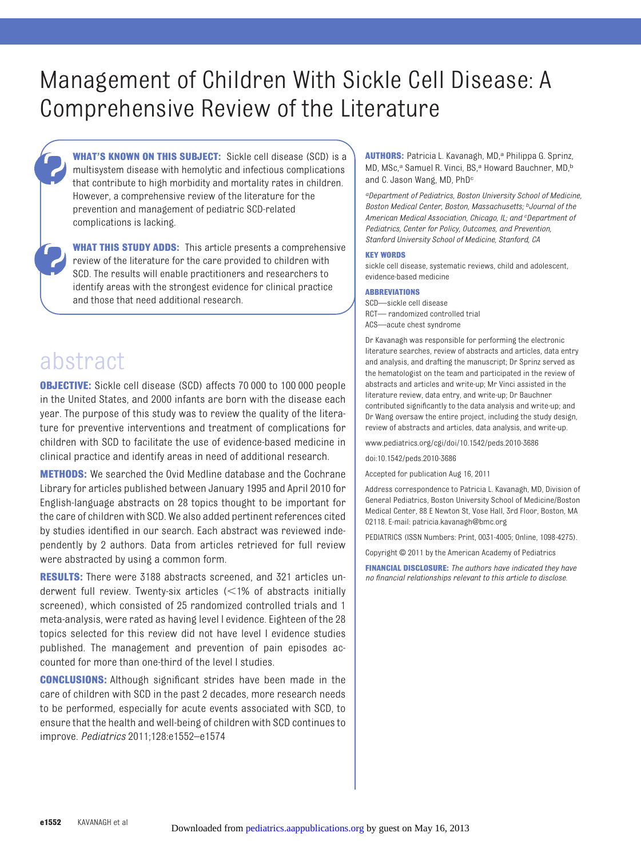# Management of Children With Sickle Cell Disease: A Comprehensive Review of the Literature

**WHAT'S KNOWN ON THIS SUBJECT:** Sickle cell disease (SCD) is a multisystem disease with hemolytic and infectious complications that contribute to high morbidity and mortality rates in children. However, a comprehensive review of the literature for the prevention and management of pediatric SCD-related complications is lacking.

**WHAT THIS STUDY ADDS:** This article presents a comprehensive review of the literature for the care provided to children with SCD. The results will enable practitioners and researchers to identify areas with the strongest evidence for clinical practice and those that need additional research.

# abstract

**OBJECTIVE:** Sickle cell disease (SCD) affects 70 000 to 100 000 people in the United States, and 2000 infants are born with the disease each year. The purpose of this study was to review the quality of the literature for preventive interventions and treatment of complications for children with SCD to facilitate the use of evidence-based medicine in clinical practice and identify areas in need of additional research.

**METHODS:** We searched the Ovid Medline database and the Cochrane Library for articles published between January 1995 and April 2010 for English-language abstracts on 28 topics thought to be important for the care of children with SCD. We also added pertinent references cited by studies identified in our search. Each abstract was reviewed independently by 2 authors. Data from articles retrieved for full review were abstracted by using a common form.

**RESULTS:** There were 3188 abstracts screened, and 321 articles underwent full review. Twenty-six articles  $\leq$ 1% of abstracts initially screened), which consisted of 25 randomized controlled trials and 1 meta-analysis, were rated as having level I evidence. Eighteen of the 28 topics selected for this review did not have level I evidence studies published. The management and prevention of pain episodes accounted for more than one-third of the level I studies.

**CONCLUSIONS:** Although significant strides have been made in the care of children with SCD in the past 2 decades, more research needs to be performed, especially for acute events associated with SCD, to ensure that the health and well-being of children with SCD continues to improve. *Pediatrics* 2011;128:e1552–e1574

**AUTHORS:** Patricia L. Kavanagh, MD,<sup>a</sup> Philippa G. Sprinz, MD, MSc,<sup>a</sup> Samuel R. Vinci, BS,<sup>a</sup> Howard Bauchner, MD,<sup>b</sup> and C. Jason Wang, MD, PhD<sup>c</sup>

*aDepartment of Pediatrics, Boston University School of Medicine, Boston Medical Center, Boston, Massachusetts; bJournal of the American Medical Association, Chicago, IL; and <sup>c</sup> Department of Pediatrics, Center for Policy, Outcomes, and Prevention, Stanford University School of Medicine, Stanford, CA*

#### **KEY WORDS**

sickle cell disease, systematic reviews, child and adolescent, evidence-based medicine

#### **ABBREVIATIONS**

SCD—sickle cell disease RCT— randomized controlled trial ACS—acute chest syndrome

Dr Kavanagh was responsible for performing the electronic literature searches, review of abstracts and articles, data entry and analysis, and drafting the manuscript; Dr Sprinz served as the hematologist on the team and participated in the review of abstracts and articles and write-up; Mr Vinci assisted in the literature review, data entry, and write-up; Dr Bauchner contributed significantly to the data analysis and write-up; and Dr Wang oversaw the entire project, including the study design, review of abstracts and articles, data analysis, and write-up.

www.pediatrics.org/cgi/doi/10.1542/peds.2010-3686

doi:10.1542/peds.2010-3686

Accepted for publication Aug 16, 2011

Address correspondence to Patricia L. Kavanagh, MD, Division of General Pediatrics, Boston University School of Medicine/Boston Medical Center, 88 E Newton St, Vose Hall, 3rd Floor, Boston, MA 02118. E-mail: patricia.kavanagh@bmc.org

PEDIATRICS (ISSN Numbers: Print, 0031-4005; Online, 1098-4275).

Copyright © 2011 by the American Academy of Pediatrics

**FINANCIAL DISCLOSURE:** *The authors have indicated they have no financial relationships relevant to this article to disclose.*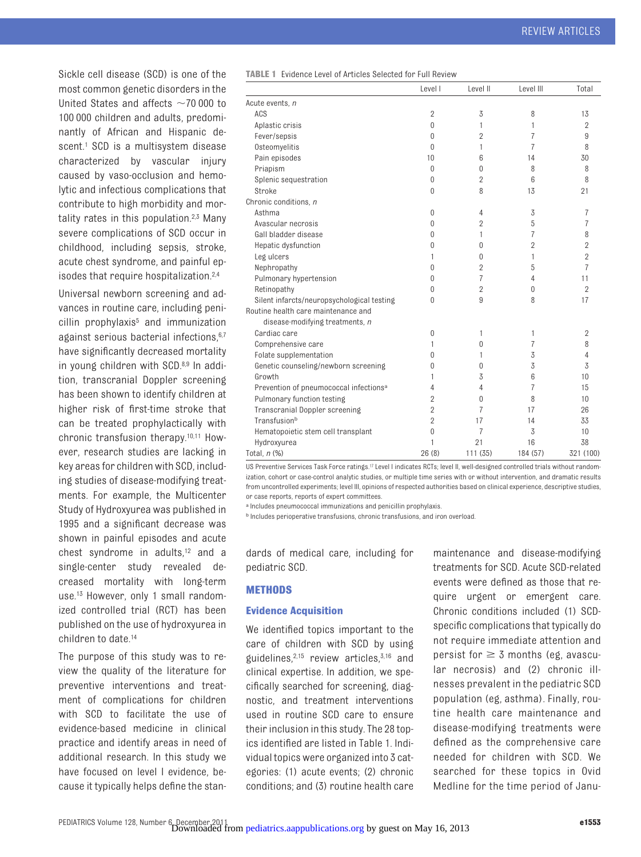Sickle cell disease (SCD) is one of the most common genetic disorders in the United States and affects  $\sim$  70 000 to 100 000 children and adults, predominantly of African and Hispanic descent.<sup>1</sup> SCD is a multisystem disease characterized by vascular injury caused by vaso-occlusion and hemolytic and infectious complications that contribute to high morbidity and mor-tality rates in this population.<sup>2,[3](#page-7-2)</sup> Many severe complications of SCD occur in childhood, including sepsis, stroke, acute chest syndrome, and painful episodes that require hospitalization[.2,](#page-7-1)[4](#page-7-3)

Universal newborn screening and advances in routine care, including peni $c$ illin prophylaxis $5$  and immunization against serious bacterial infections.<sup>6[,7](#page-7-6)</sup> have significantly decreased mortality in young children with SCD[.8,](#page-7-7)[9](#page-7-8) In addition, transcranial Doppler screening has been shown to identify children at higher risk of first-time stroke that can be treated prophylactically with chronic transfusion therapy[.10,](#page-7-9)[11](#page-7-10) However, research studies are lacking in key areas for children with SCD, including studies of disease-modifying treatments. For example, the Multicenter Study of Hydroxyurea was published in 1995 and a significant decrease was shown in painful episodes and acute chest syndrome in adults[,12](#page-7-11) and a single-center study revealed decreased mortality with long-term use.<sup>13</sup> However, only 1 small randomized controlled trial (RCT) has been published on the use of hydroxyurea in children to date[.14](#page-7-13)

The purpose of this study was to review the quality of the literature for preventive interventions and treatment of complications for children with SCD to facilitate the use of evidence-based medicine in clinical practice and identify areas in need of additional research. In this study we have focused on level I evidence, because it typically helps define the stan<span id="page-2-0"></span>**TABLE 1** Evidence Level of Articles Selected for Full Review

|                                                    | Level I        | Level II       | Level III      | Total          |
|----------------------------------------------------|----------------|----------------|----------------|----------------|
| Acute events, n                                    |                |                |                |                |
| ACS                                                | $\overline{2}$ | 3              | 8              | 13             |
| Aplastic crisis                                    | $\Omega$       | 1              | 1              | $\overline{2}$ |
| Fever/sepsis                                       | 0              | $\overline{2}$ | 7              | 9              |
| Osteomyelitis                                      | $\theta$       | 1              | 7              | 8              |
| Pain episodes                                      | 10             | 6              | 14             | 30             |
| Priapism                                           | 0              | $\theta$       | 8              | 8              |
| Splenic sequestration                              | 0              | $\overline{2}$ | 6              | 8              |
| Stroke                                             | $\overline{0}$ | 8              | 13             | 21             |
| Chronic conditions, n                              |                |                |                |                |
| Asthma                                             | 0              | 4              | 3              | 7              |
| Avascular necrosis                                 | 0              | $\overline{2}$ | 5              | 7              |
| Gall bladder disease                               | 0              | 1              | 7              | 8              |
| Hepatic dysfunction                                | 0              | $\theta$       | $\overline{2}$ | $\overline{2}$ |
| Leg ulcers                                         | 1              | $\theta$       | 1              | $\overline{2}$ |
| Nephropathy                                        | 0              | $\overline{2}$ | 5              | 7              |
| Pulmonary hypertension                             | 0              | $\overline{7}$ | 4              | 11             |
| Retinopathy                                        | 0              | $\overline{2}$ | 0              | $\overline{2}$ |
| Silent infarcts/neuropsychological testing         | 0              | 9              | 8              | 17             |
| Routine health care maintenance and                |                |                |                |                |
| disease-modifying treatments, n                    |                |                |                |                |
| Cardiac care                                       | $\overline{0}$ | 1              | 1              | $\overline{2}$ |
| Comprehensive care                                 | 1              | $\theta$       | 7              | 8              |
| Folate supplementation                             | 0              | 1              | 3              | 4              |
| Genetic counseling/newborn screening               | 0              | $\theta$       | 3              | 3              |
| Growth                                             | 1              | 3              | 6              | 10             |
| Prevention of pneumococcal infections <sup>a</sup> | 4              | 4              | 7              | 15             |
| Pulmonary function testing                         | $\overline{2}$ | $\theta$       | 8              | 10             |
| <b>Transcranial Doppler screening</b>              | $\overline{2}$ | 7              | 17             | 26             |
| Transfusionb                                       | $\overline{2}$ | 17             | 14             | 33             |
| Hematopoietic stem cell transplant                 | 0              | 7              | 3              | 10             |
| Hydroxyurea                                        | 1              | 21             | 16             | 38             |
| Total, n (%)                                       | 26(8)          | 111 (35)       | 184 (57)       | 321 (100)      |
|                                                    |                |                |                |                |

US Preventive Services Task Force rating[s.17](#page-7-16) Level I indicates RCTs; level II, well-designed controlled trials without randomization, cohort or case-control analytic studies, or multiple time series with or without intervention, and dramatic results from uncontrolled experiments; level III, opinions of respected authorities based on clinical experience, descriptive studies, or case reports, reports of expert committees.

a Includes pneumococcal immunizations and penicillin prophylaxis.

b Includes perioperative transfusions, chronic transfusions, and iron overload.

dards of medical care, including for pediatric SCD.

### **METHODS**

#### **Evidence Acquisition**

We identified topics important to the care of children with SCD by using guidelines, $2,15$  $2,15$  review articles, $3,16$  $3,16$  and clinical expertise. In addition, we specifically searched for screening, diagnostic, and treatment interventions used in routine SCD care to ensure their inclusion in this study. The 28 topics identified are listed in [Table 1.](#page-2-0) Individual topics were organized into 3 categories: (1) acute events; (2) chronic conditions; and (3) routine health care

maintenance and disease-modifying treatments for SCD. Acute SCD-related events were defined as those that require urgent or emergent care. Chronic conditions included (1) SCDspecific complications that typically do not require immediate attention and persist for  $\geq$  3 months (eg, avascular necrosis) and (2) chronic illnesses prevalent in the pediatric SCD population (eg, asthma). Finally, routine health care maintenance and disease-modifying treatments were defined as the comprehensive care needed for children with SCD. We searched for these topics in Ovid Medline for the time period of Janu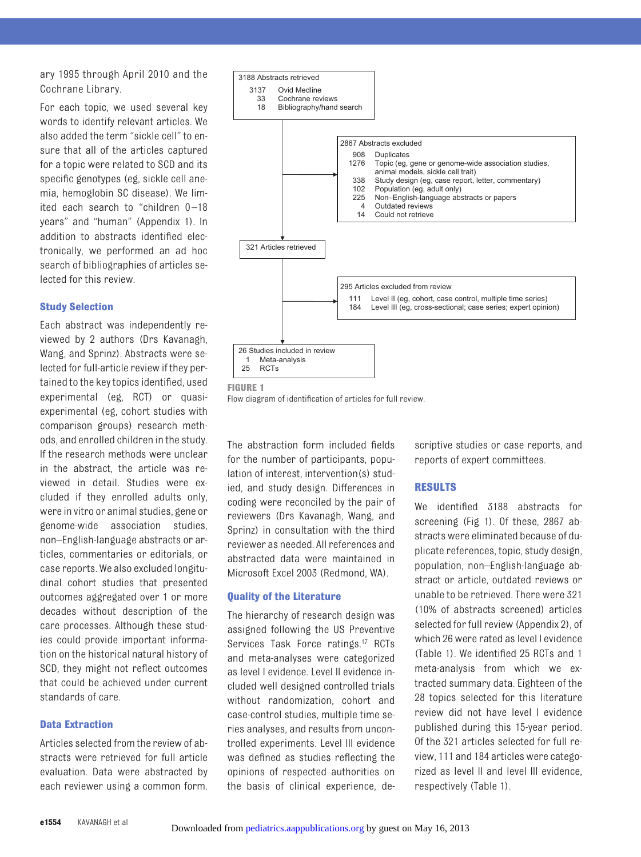ary 1995 through April 2010 and the Cochrane Library.

For each topic, we used several key words to identify relevant articles. We also added the term "sickle cell" to ensure that all of the articles captured for a topic were related to SCD and its specific genotypes (eg, sickle cell anemia, hemoglobin SC disease). We limited each search to "children 0-18 years" and "human" (Appendix 1). In addition to abstracts identified electronically, we performed an ad hoc search of bibliographies of articles selected for this review.

#### **Study Selection**

Each abstract was independently reviewed by 2 authors (Drs Kavanagh, Wang, and Sprinz). Abstracts were selected for full-article review if they pertained to the key topics identified, used experimental (eg, RCT) or quasiexperimental (eg, cohort studies with comparison groups) research methods, and enrolled children in the study. If the research methods were unclear in the abstract, the article was reviewed in detail. Studies were excluded if they enrolled adults only, were in vitro or animal studies, gene or genome-wide association studies, non–English-language abstracts or articles, commentaries or editorials, or case reports. We also excluded longitudinal cohort studies that presented outcomes aggregated over 1 or more decades without description of the care processes. Although these studies could provide important information on the historical natural history of SCD, they might not reflect outcomes that could be achieved under current standards of care.

## **Data Extraction**

Articles selected from the review of abstracts were retrieved for full article evaluation. Data were abstracted by each reviewer using a common form.



<span id="page-3-0"></span>**FIGURE 1**

Flow diagram of identification of articles for full review.

The abstraction form included fields for the number of participants, population of interest, intervention(s) studied, and study design. Differences in coding were reconciled by the pair of reviewers (Drs Kavanagh, Wang, and Sprinz) in consultation with the third reviewer as needed. All references and abstracted data were maintained in Microsoft Excel 2003 (Redmond, WA).

#### **Quality of the Literature**

The hierarchy of research design was assigned following the US Preventive Services Task Force ratings.<sup>17</sup> RCTs and meta-analyses were categorized as level I evidence. Level II evidence included well designed controlled trials without randomization, cohort and case-control studies, multiple time series analyses, and results from uncontrolled experiments. Level III evidence was defined as studies reflecting the opinions of respected authorities on the basis of clinical experience, descriptive studies or case reports, and reports of expert committees.

#### **RESULTS**

We identified 3188 abstracts for screening [\(Fig 1\)](#page-3-0). Of these, 2867 abstracts were eliminated because of duplicate references, topic, study design, population, non–English-language abstract or article, outdated reviews or unable to be retrieved. There were 321 (10% of abstracts screened) articles selected for full review (Appendix 2), of which 26 were rated as level I evidence [\(Table 1\)](#page-2-0). We identified 25 RCTs and 1 meta-analysis from which we extracted summary data. Eighteen of the 28 topics selected for this literature review did not have level I evidence published during this 15-year period. Of the 321 articles selected for full review, 111 and 184 articles were categorized as level II and level III evidence, respectively [\(Table 1\)](#page-2-0).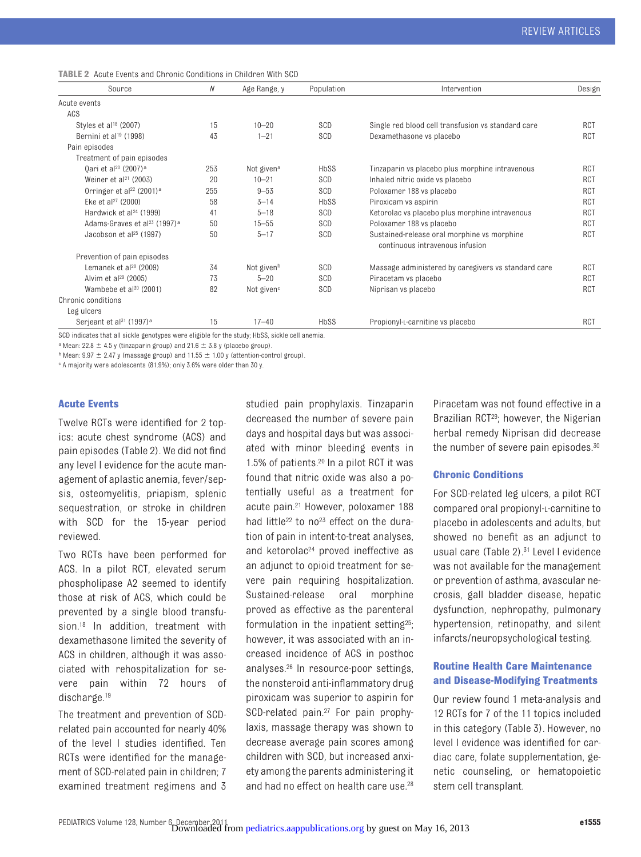<span id="page-4-0"></span>

|  | <b>TABLE 2</b> Acute Events and Chronic Conditions in Children With SCD |  |  |  |  |
|--|-------------------------------------------------------------------------|--|--|--|--|
|--|-------------------------------------------------------------------------|--|--|--|--|

| Source                                               | N   | Age Range, y           | Population | Intervention                                                                   | Design     |
|------------------------------------------------------|-----|------------------------|------------|--------------------------------------------------------------------------------|------------|
| Acute events                                         |     |                        |            |                                                                                |            |
| ACS                                                  |     |                        |            |                                                                                |            |
| Styles et al <sup>18</sup> (2007)                    | 15  | $10 - 20$              | SCD        | Single red blood cell transfusion vs standard care                             | RCT        |
| Bernini et al <sup>19</sup> (1998)                   | 43  | $1 - 21$               | SCD        | Dexamethasone vs placebo                                                       | RCT        |
| Pain episodes                                        |     |                        |            |                                                                                |            |
| Treatment of pain episodes                           |     |                        |            |                                                                                |            |
| 0ari et al <sup>20</sup> (2007) <sup>a</sup>         | 253 | Not given <sup>a</sup> | HbSS       | Tinzaparin vs placebo plus morphine intravenous                                | RCT        |
| Weiner et al <sup>21</sup> (2003)                    | 20  | $10 - 21$              | SCD        | Inhaled nitric oxide vs placebo                                                | RCT        |
| Orringer et al <sup>22</sup> (2001) <sup>a</sup>     | 255 | $9 - 53$               | SCD        | Poloxamer 188 vs placebo                                                       | RCT        |
| Eke et al <sup>27</sup> (2000)                       | 58  | $3 - 14$               | HbSS       | Piroxicam vs aspirin                                                           | RCT        |
| Hardwick et al <sup>24</sup> (1999)                  | 41  | $5 - 18$               | SCD        | Ketorolac vs placebo plus morphine intravenous                                 | RCT        |
| Adams-Graves et al <sup>23</sup> (1997) <sup>a</sup> | 50  | $15 - 55$              | SCD        | Poloxamer 188 vs placebo                                                       | RCT        |
| Jacobson et al <sup>25</sup> (1997)                  | 50  | $5 - 17$               | SCD        | Sustained-release oral morphine vs morphine<br>continuous intravenous infusion | RCT        |
| Prevention of pain episodes                          |     |                        |            |                                                                                |            |
| Lemanek et al $^{28}$ (2009)                         | 34  | Not given <sup>b</sup> | SCD        | Massage administered by caregivers vs standard care                            | <b>RCT</b> |
| Alvim et al <sup>29</sup> (2005)                     | 73  | $5 - 20$               | SCD        | Piracetam vs placebo                                                           | <b>RCT</b> |
| Wambebe et al $30$ (2001)                            | 82  | Not given <sup>c</sup> | SCD        | Niprisan vs placebo                                                            | RCT        |
| Chronic conditions                                   |     |                        |            |                                                                                |            |
| Leg ulcers                                           |     |                        |            |                                                                                |            |
| Serjeant et al <sup>31</sup> (1997) <sup>a</sup>     | 15  | $17 - 40$              | HbSS       | Propionyl-L-carnitine vs placebo                                               | RCT        |

SCD indicates that all sickle genotypes were eligible for the study; HbSS, sickle cell anemia.

<sup>a</sup> Mean: 22.8  $\pm$  4.5 y (tinzaparin group) and 21.6  $\pm$  3.8 y (placebo group).

 $\overline{p}$  Mean: 9.97  $\pm$  2.47 y (massage group) and 11.55  $\pm$  1.00 y (attention-control group).

c A majority were adolescents (81.9%); only 3.6% were older than 30 y.

#### **Acute Events**

Twelve RCTs were identified for 2 topics: acute chest syndrome (ACS) and pain episodes [\(Table 2\)](#page-4-0). We did not find any level I evidence for the acute management of aplastic anemia, fever/sepsis, osteomyelitis, priapism, splenic sequestration, or stroke in children with SCD for the 15-year period reviewed.

Two RCTs have been performed for ACS. In a pilot RCT, elevated serum phospholipase A2 seemed to identify those at risk of ACS, which could be prevented by a single blood transfusion.<sup>18</sup> In addition, treatment with dexamethasone limited the severity of ACS in children, although it was associated with rehospitalization for severe pain within 72 hours of discharge[.19](#page-7-18)

The treatment and prevention of SCDrelated pain accounted for nearly 40% of the level I studies identified. Ten RCTs were identified for the management of SCD-related pain in children; 7 examined treatment regimens and 3

studied pain prophylaxis. Tinzaparin decreased the number of severe pain days and hospital days but was associated with minor bleeding events in 1.5% of patients[.20](#page-7-19) In a pilot RCT it was found that nitric oxide was also a potentially useful as a treatment for acute pain[.21](#page-7-20) However, poloxamer 188 had little<sup>22</sup> to no<sup>23</sup> effect on the duration of pain in intent-to-treat analyses, and ketorolac<sup>24</sup> proved ineffective as an adjunct to opioid treatment for severe pain requiring hospitalization. Sustained-release oral morphine proved as effective as the parenteral formulation in the inpatient settin[g25;](#page-8-3) however, it was associated with an increased incidence of ACS in posthoc analyses[.26](#page-8-4) In resource-poor settings, the nonsteroid anti-inflammatory drug piroxicam was superior to aspirin for SCD-related pain.<sup>27</sup> For pain prophylaxis, massage therapy was shown to decrease average pain scores among children with SCD, but increased anxiety among the parents administering it and had no effect on health care use[.28](#page-8-6)

Piracetam was not found effective in a Brazilian RCT<sup>29</sup>; however, the Nigerian herbal remedy Niprisan did decrease the number of severe pain episodes[.30](#page-8-8)

#### **Chronic Conditions**

For SCD-related leg ulcers, a pilot RCT compared oral propionyl-L-carnitine to placebo in adolescents and adults, but showed no benefit as an adjunct to usual care [\(Table 2\)](#page-4-0)[.31](#page-8-9) Level I evidence was not available for the management or prevention of asthma, avascular necrosis, gall bladder disease, hepatic dysfunction, nephropathy, pulmonary hypertension, retinopathy, and silent infarcts/neuropsychological testing.

# **Routine Health Care Maintenance and Disease-Modifying Treatments**

Our review found 1 meta-analysis and 12 RCTs for 7 of the 11 topics included in this category [\(Table 3\)](#page-5-0). However, no level I evidence was identified for cardiac care, folate supplementation, genetic counseling, or hematopoietic stem cell transplant.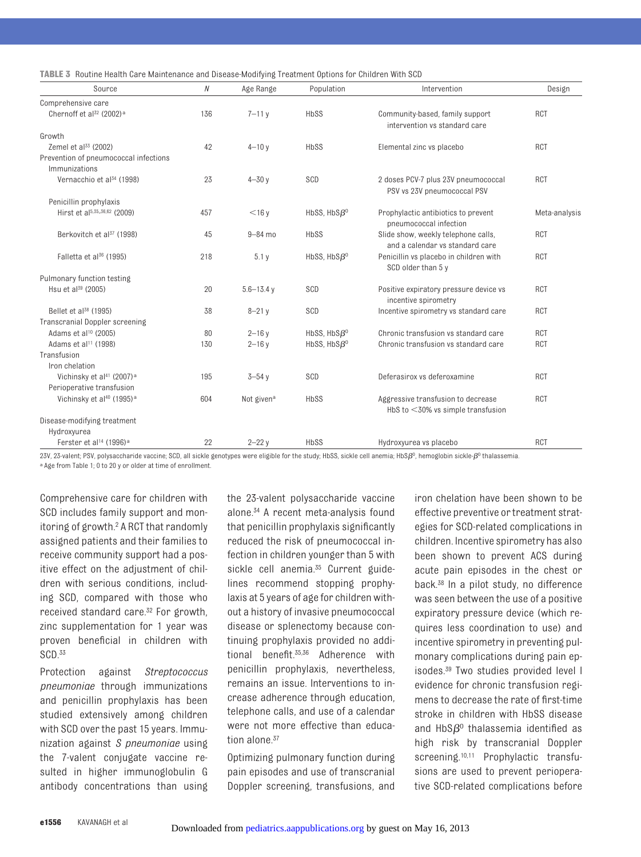<span id="page-5-0"></span>

| TABLE 3 Routine Health Care Maintenance and Disease-Modifying Treatment Options for Children With SCD |  |  |
|-------------------------------------------------------------------------------------------------------|--|--|
|-------------------------------------------------------------------------------------------------------|--|--|

| Source                                                 | $\mathcal N$ | Age Range              | Population         | Intervention                                                               | Design        |
|--------------------------------------------------------|--------------|------------------------|--------------------|----------------------------------------------------------------------------|---------------|
| Comprehensive care                                     |              |                        |                    |                                                                            |               |
| Chernoff et al <sup>32</sup> (2002) <sup>a</sup>       | 136          | $7 - 11y$              | HbSS               | Community-based, family support<br>intervention vs standard care           | RCT           |
| Growth                                                 |              |                        |                    |                                                                            |               |
| Zemel et al <sup>33</sup> (2002)                       | 42           | $4 - 10y$              | HbSS               | Elemental zinc vs placebo                                                  | <b>RCT</b>    |
| Prevention of pneumococcal infections<br>Immunizations |              |                        |                    |                                                                            |               |
| Vernacchio et al <sup>34</sup> (1998)                  | 23           | $4 - 30y$              | SCD                | 2 doses PCV-7 plus 23V pneumococcal<br>PSV vs 23V pneumococcal PSV         | RCT           |
| Penicillin prophylaxis                                 |              |                        |                    |                                                                            |               |
| Hirst et al <sup>5,35_36,62</sup> (2009)               | 457          | $<$ 16 y               | HbSS, $HbS\beta^0$ | Prophylactic antibiotics to prevent<br>pneumococcal infection              | Meta-analysis |
| Berkovitch et al <sup>37</sup> (1998)                  | 45           | $9 - 84$ mo            | HbSS               | Slide show, weekly telephone calls,<br>and a calendar vs standard care     | RCT           |
| Falletta et al <sup>36</sup> (1995)                    | 218          | 5.1y                   | HbSS, $HbS\beta^0$ | Penicillin vs placebo in children with<br>SCD older than 5 y               | RCT           |
| Pulmonary function testing                             |              |                        |                    |                                                                            |               |
| Hsu et $al^{39}$ (2005)                                | 20           | $5.6 - 13.4$ v         | SCD                | Positive expiratory pressure device vs<br>incentive spirometry             | RCT           |
| Bellet et al <sup>38</sup> (1995)                      | 38           | $8 - 21y$              | SCD                | Incentive spirometry vs standard care                                      | RCT           |
| Transcranial Doppler screening                         |              |                        |                    |                                                                            |               |
| Adams et al <sup>10</sup> (2005)                       | 80           | $2 - 16y$              | HbSS, $HbS\beta^0$ | Chronic transfusion vs standard care                                       | <b>RCT</b>    |
| Adams et al <sup>11</sup> (1998)                       | 130          | $2 - 16y$              | HbSS, $HbS\beta^0$ | Chronic transfusion vs standard care                                       | RCT           |
| Transfusion                                            |              |                        |                    |                                                                            |               |
| Iron chelation                                         |              |                        |                    |                                                                            |               |
| Vichinsky et al <sup>41</sup> (2007) <sup>a</sup>      | 195          | $3 - 54y$              | SCD                | Deferasirox vs deferoxamine                                                | RCT           |
| Perioperative transfusion                              |              |                        |                    |                                                                            |               |
| Vichinsky et al <sup>40</sup> (1995) <sup>a</sup>      | 604          | Not given <sup>a</sup> | HbSS               | Aggressive transfusion to decrease<br>HbS to $<$ 30% vs simple transfusion | RCT           |
| Disease-modifying treatment                            |              |                        |                    |                                                                            |               |
| Hydroxyurea                                            |              |                        |                    |                                                                            |               |
| Ferster et al <sup>14</sup> (1996) <sup>a</sup>        | 22           | $2 - 22y$              | HbSS               | Hydroxyurea vs placebo                                                     | <b>RCT</b>    |

23V, 23-valent; PSV, polysaccharide vaccine; SCD, all sickle genotypes were eligible for the study; HbSS, sickle cell anemia; HbS $\beta^0$ , hemoglobin sickle- $\beta^0$  thalassemia. a Age from Table 1; 0 to 20 y or older at time of enrollment.

Comprehensive care for children with SCD includes family support and monitoring of growth[.2](#page-7-1) A RCT that randomly assigned patients and their families to receive community support had a positive effect on the adjustment of children with serious conditions, including SCD, compared with those who received standard care.<sup>32</sup> For growth, zinc supplementation for 1 year was proven beneficial in children with SCD.<sup>33</sup>

Protection against *Streptococcus pneumoniae* through immunizations and penicillin prophylaxis has been studied extensively among children with SCD over the past 15 years. Immunization against *S pneumoniae* using the 7-valent conjugate vaccine resulted in higher immunoglobulin G antibody concentrations than using

the 23-valent polysaccharide vaccine alone[.34](#page-8-12) A recent meta-analysis found that penicillin prophylaxis significantly reduced the risk of pneumococcal infection in children younger than 5 with sickle cell anemia.<sup>35</sup> Current guidelines recommend stopping prophylaxis at 5 years of age for children without a history of invasive pneumococcal disease or splenectomy because continuing prophylaxis provided no additional benefit[.35](#page-8-13)[,36](#page-8-14) Adherence with penicillin prophylaxis, nevertheless, remains an issue. Interventions to increase adherence through education, telephone calls, and use of a calendar were not more effective than education alone.<sup>37</sup>

Optimizing pulmonary function during pain episodes and use of transcranial Doppler screening, transfusions, and iron chelation have been shown to be effective preventive or treatment strategies for SCD-related complications in children. Incentive spirometry has also been shown to prevent ACS during acute pain episodes in the chest or back[.38](#page-8-16) In a pilot study, no difference was seen between the use of a positive expiratory pressure device (which requires less coordination to use) and incentive spirometry in preventing pulmonary complications during pain episodes[.39](#page-8-17) Two studies provided level I evidence for chronic transfusion regimens to decrease the rate of first-time stroke in children with HbSS disease and  $HbS\beta^0$  thalassemia identified as high risk by transcranial Doppler screening.<sup>10[,11](#page-7-10)</sup> Prophylactic transfusions are used to prevent perioperative SCD-related complications before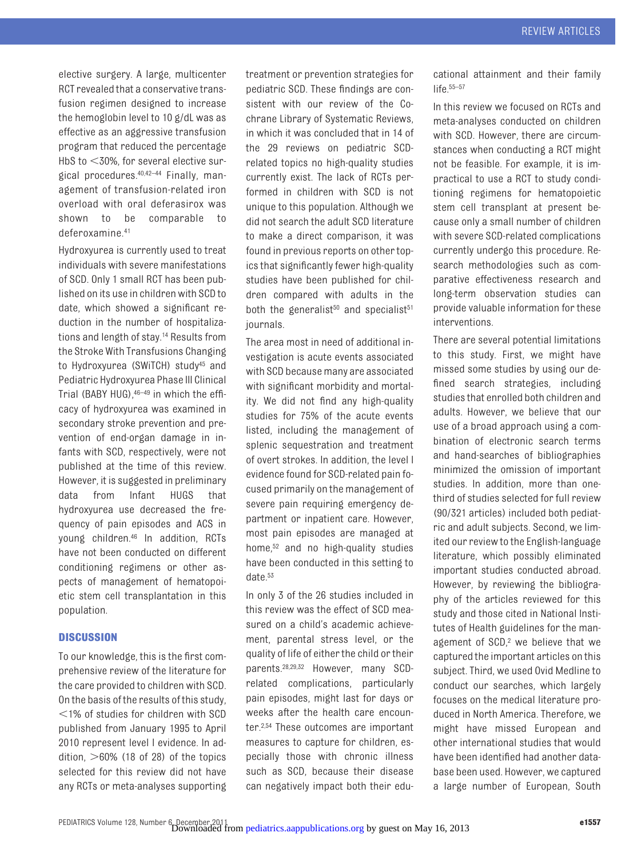elective surgery. A large, multicenter RCT revealed that a conservative transfusion regimen designed to increase the hemoglobin level to 10 g/dL was as effective as an aggressive transfusion program that reduced the percentage HbS to  $<$ 30%, for several elective surgical procedures[.40](#page-8-19)[,42](#page-8-20)[–44](#page-8-21) Finally, management of transfusion-related iron overload with oral deferasirox was shown to be comparable to deferoxamine[.41](#page-8-18)

Hydroxyurea is currently used to treat individuals with severe manifestations of SCD. Only 1 small RCT has been published on its use in children with SCD to date, which showed a significant reduction in the number of hospitalizations and length of stay[.14](#page-7-13) Results from the Stroke With Transfusions Changing to Hydroxyurea (SWiTCH) stud[y45](#page-8-22) and Pediatric Hydroxyurea Phase III Clinical Trial (BABY HUG), 46-49 in which the efficacy of hydroxyurea was examined in secondary stroke prevention and prevention of end-organ damage in infants with SCD, respectively, were not published at the time of this review. However, it is suggested in preliminary data from Infant HUGS that hydroxyurea use decreased the frequency of pain episodes and ACS in young children[.46](#page-8-23) In addition, RCTs have not been conducted on different conditioning regimens or other aspects of management of hematopoietic stem cell transplantation in this population.

#### **DISCUSSION**

To our knowledge, this is the first comprehensive review of the literature for the care provided to children with SCD. On the basis of the results of this study,  $1\%$  of studies for children with SCD published from January 1995 to April 2010 represent level I evidence. In addition,  $>60\%$  (18 of 28) of the topics selected for this review did not have any RCTs or meta-analyses supporting treatment or prevention strategies for pediatric SCD. These findings are consistent with our review of the Cochrane Library of Systematic Reviews, in which it was concluded that in 14 of the 29 reviews on pediatric SCDrelated topics no high-quality studies currently exist. The lack of RCTs performed in children with SCD is not unique to this population. Although we did not search the adult SCD literature to make a direct comparison, it was found in previous reports on other topics that significantly fewer high-quality studies have been published for children compared with adults in the both the generalist<sup>50</sup> and specialist<sup>51</sup> journals.

The area most in need of additional investigation is acute events associated with SCD because many are associated with significant morbidity and mortality. We did not find any high-quality studies for 75% of the acute events listed, including the management of splenic sequestration and treatment of overt strokes. In addition, the level I evidence found for SCD-related pain focused primarily on the management of severe pain requiring emergency department or inpatient care. However, most pain episodes are managed at home,<sup>52</sup> and no high-quality studies have been conducted in this setting to date[.53](#page-8-28)

In only 3 of the 26 studies included in this review was the effect of SCD measured on a child's academic achievement, parental stress level, or the quality of life of either the child or their parents[.28,](#page-8-6)[29,](#page-8-7)[32](#page-8-10) However, many SCDrelated complications, particularly pain episodes, might last for days or weeks after the health care encounter[.2](#page-7-1)[,54](#page-8-29) These outcomes are important measures to capture for children, especially those with chronic illness such as SCD, because their disease can negatively impact both their edu-

cational attainment and their family life $55-57$  $55-57$ 

In this review we focused on RCTs and meta-analyses conducted on children with SCD. However, there are circumstances when conducting a RCT might not be feasible. For example, it is impractical to use a RCT to study conditioning regimens for hematopoietic stem cell transplant at present because only a small number of children with severe SCD-related complications currently undergo this procedure. Research methodologies such as comparative effectiveness research and long-term observation studies can provide valuable information for these interventions.

There are several potential limitations to this study. First, we might have missed some studies by using our defined search strategies, including studies that enrolled both children and adults. However, we believe that our use of a broad approach using a combination of electronic search terms and hand-searches of bibliographies minimized the omission of important studies. In addition, more than onethird of studies selected for full review (90/321 articles) included both pediatric and adult subjects. Second, we limited our review to the English-language literature, which possibly eliminated important studies conducted abroad. However, by reviewing the bibliography of the articles reviewed for this study and those cited in National Institutes of Health guidelines for the management of SCD,<sup>2</sup> we believe that we captured the important articles on this subject. Third, we used Ovid Medline to conduct our searches, which largely focuses on the medical literature produced in North America. Therefore, we might have missed European and other international studies that would have been identified had another database been used. However, we captured a large number of European, South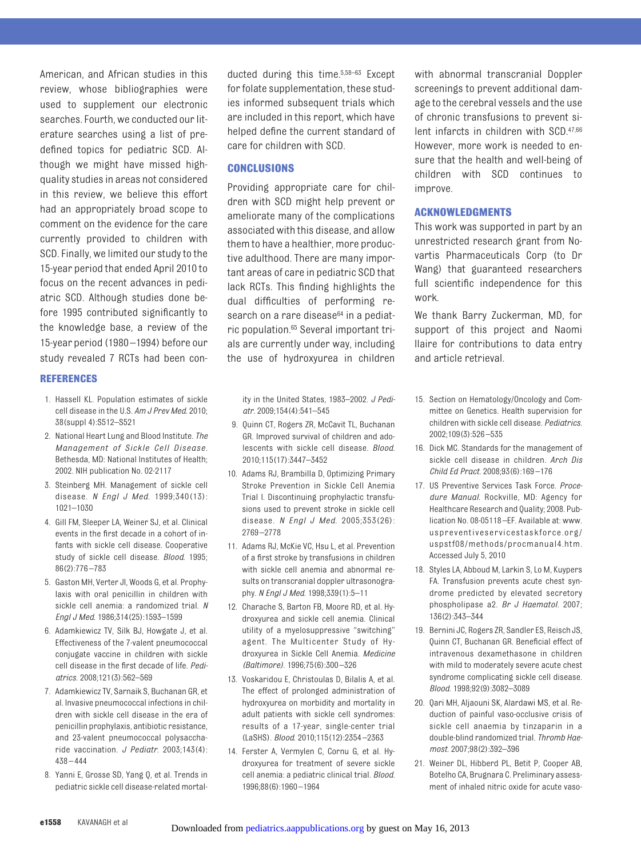American, and African studies in this review, whose bibliographies were used to supplement our electronic searches. Fourth, we conducted our literature searches using a list of predefined topics for pediatric SCD. Although we might have missed highquality studies in areas not considered in this review, we believe this effort had an appropriately broad scope to comment on the evidence for the care currently provided to children with SCD. Finally, we limited our study to the 15-year period that ended April 2010 to focus on the recent advances in pediatric SCD. Although studies done before 1995 contributed significantly to the knowledge base, a review of the 15-year period (1980 –1994) before our study revealed 7 RCTs had been con-

#### **REFERENCES**

- <span id="page-7-0"></span>1. Hassell KL. Population estimates of sickle cell disease in the U.S. *Am J Prev Med*. 2010; 38(suppl 4):S512–S521
- <span id="page-7-1"></span>2. National Heart Lung and Blood Institute. *The Management of Sickle Cell Disease.* Bethesda, MD: National Institutes of Health; 2002. NIH publication No. 02-2117
- <span id="page-7-2"></span>3. Steinberg MH. Management of sickle cell disease. *N Engl J Med*. 1999;340(13): 1021–1030
- <span id="page-7-3"></span>4. Gill FM, Sleeper LA, Weiner SJ, et al. Clinical events in the first decade in a cohort of infants with sickle cell disease. Cooperative study of sickle cell disease. *Blood*. 1995; 86(2):776 –783
- <span id="page-7-4"></span>5. Gaston MH, Verter JI, Woods G, et al. Prophylaxis with oral penicillin in children with sickle cell anemia: a randomized trial. *N Engl J Med*. 1986;314(25):1593–1599
- <span id="page-7-5"></span>6. Adamkiewicz TV, Silk BJ, Howgate J, et al. Effectiveness of the 7-valent pneumococcal conjugate vaccine in children with sickle cell disease in the first decade of life. *Pediatrics*. 2008;121(3):562–569
- <span id="page-7-6"></span>7. Adamkiewicz TV, Sarnaik S, Buchanan GR, et al. Invasive pneumococcal infections in children with sickle cell disease in the era of penicillin prophylaxis, antibiotic resistance, and 23-valent pneumococcal polysaccharide vaccination. *J Pediatr*. 2003;143(4):  $438 - 444$
- <span id="page-7-7"></span>8. Yanni E, Grosse SD, Yang Q, et al. Trends in pediatric sickle cell disease-related mortal-

ducted during this time[.5,](#page-7-4)[58](#page-9-1)[–63](#page-9-2) Except for folate supplementation, these studies informed subsequent trials which are included in this report, which have helped define the current standard of care for children with SCD.

#### **CONCLUSIONS**

Providing appropriate care for children with SCD might help prevent or ameliorate many of the complications associated with this disease, and allow them to have a healthier, more productive adulthood. There are many important areas of care in pediatric SCD that lack RCTs. This finding highlights the dual difficulties of performing research on a rare disease<sup>64</sup> in a pediatric population[.65](#page-9-4) Several important trials are currently under way, including the use of hydroxyurea in children

ity in the United States, 1983–2002. *J Pediatr*. 2009;154(4):541–545

- <span id="page-7-8"></span>9. Quinn CT, Rogers ZR, McCavit TL, Buchanan GR. Improved survival of children and adolescents with sickle cell disease. *Blood*. 2010;115(17):3447–3452
- <span id="page-7-9"></span>10. Adams RJ, Brambilla D, Optimizing Primary Stroke Prevention in Sickle Cell Anemia Trial I. Discontinuing prophylactic transfusions used to prevent stroke in sickle cell disease. *N Engl J Med*. 2005;353(26): 2769 –2778
- <span id="page-7-10"></span>11. Adams RJ, McKie VC, Hsu L, et al. Prevention of a first stroke by transfusions in children with sickle cell anemia and abnormal results on transcranial doppler ultrasonography. *N Engl J Med*. 1998;339(1):5–11
- <span id="page-7-11"></span>12. Charache S, Barton FB, Moore RD, et al. Hydroxyurea and sickle cell anemia. Clinical utility of a myelosuppressive "switching" agent. The Multicenter Study of Hydroxyurea in Sickle Cell Anemia. *Medicine (Baltimore)*. 1996;75(6):300 –326
- <span id="page-7-12"></span>13. Voskaridou E, Christoulas D, Bilalis A, et al. The effect of prolonged administration of hydroxyurea on morbidity and mortality in adult patients with sickle cell syndromes: results of a 17-year, single-center trial (LaSHS). *Blood*. 2010;115(12):2354 –2363
- <span id="page-7-13"></span>14. Ferster A, Vermylen C, Cornu G, et al. Hydroxyurea for treatment of severe sickle cell anemia: a pediatric clinical trial. *Blood*. 1996;88(6):1960 –1964

with abnormal transcranial Doppler screenings to prevent additional damage to the cerebral vessels and the use of chronic transfusions to prevent silent infarcts in children with SCD[.47](#page-8-32)[,66](#page-9-5) However, more work is needed to ensure that the health and well-being of children with SCD continues to improve.

#### **ACKNOWLEDGMENTS**

This work was supported in part by an unrestricted research grant from Novartis Pharmaceuticals Corp (to Dr Wang) that guaranteed researchers full scientific independence for this work.

We thank Barry Zuckerman, MD, for support of this project and Naomi Ilaire for contributions to data entry and article retrieval.

- <span id="page-7-14"></span>15. Section on Hematology/Oncology and Committee on Genetics. Health supervision for children with sickle cell disease. *Pediatrics*. 2002;109(3):526 –535
- <span id="page-7-15"></span>16. Dick MC. Standards for the management of sickle cell disease in children. *Arch Dis Child Ed Pract*. 2008;93(6):169 –176
- <span id="page-7-16"></span>17. US Preventive Services Task Force. *Procedure Manual*. Rockville, MD: Agency for Healthcare Research and Quality; 2008. Publication No. 08-05118 –EF. Available at: [www.](www.uspreventiveservicestaskforce.org/uspstf08/methods/procmanual4.htm) [uspreventiveservicestaskforce.org/](www.uspreventiveservicestaskforce.org/uspstf08/methods/procmanual4.htm) [uspstf08/methods/procmanual4.htm.](www.uspreventiveservicestaskforce.org/uspstf08/methods/procmanual4.htm) Accessed July 5, 2010
- <span id="page-7-17"></span>18. Styles LA, Abboud M, Larkin S, Lo M, Kuypers FA. Transfusion prevents acute chest syndrome predicted by elevated secretory phospholipase a2. *Br J Haematol*. 2007; 136(2):343–344
- <span id="page-7-18"></span>19. Bernini JC, Rogers ZR, Sandler ES, Reisch JS, Quinn CT, Buchanan GR. Beneficial effect of intravenous dexamethasone in children with mild to moderately severe acute chest syndrome complicating sickle cell disease. *Blood*. 1998;92(9):3082–3089
- <span id="page-7-19"></span>20. Qari MH, Aljaouni SK, Alardawi MS, et al. Reduction of painful vaso-occlusive crisis of sickle cell anaemia by tinzaparin in a double-blind randomized trial. *Thromb Haemost*. 2007;98(2):392–396
- <span id="page-7-20"></span>21. Weiner DL, Hibberd PL, Betit P, Cooper AB, Botelho CA, Brugnara C. Preliminary assessment of inhaled nitric oxide for acute vaso-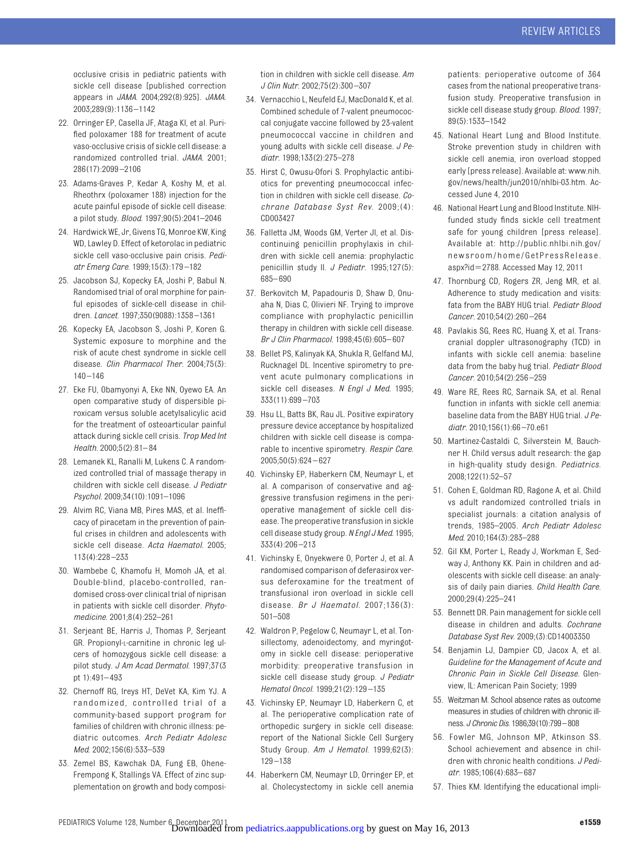occlusive crisis in pediatric patients with sickle cell disease [published correction appears in *JAMA*. 2004;292(8):925]. *JAMA*. 2003;289(9):1136 –1142

- <span id="page-8-0"></span>22. Orringer EP, Casella JF, Ataga KI, et al. Purified poloxamer 188 for treatment of acute vaso-occlusive crisis of sickle cell disease: a randomized controlled trial. *JAMA*. 2001; 286(17):2099 –2106
- <span id="page-8-1"></span>23. Adams-Graves P, Kedar A, Koshy M, et al. Rheothrx (poloxamer 188) injection for the acute painful episode of sickle cell disease: a pilot study. *Blood*. 1997;90(5):2041–2046
- <span id="page-8-2"></span>24. Hardwick WE, Jr, Givens TG, Monroe KW, King WD, Lawley D. Effect of ketorolac in pediatric sickle cell vaso-occlusive pain crisis. *Pediatr Emerg Care*. 1999;15(3):179 –182
- <span id="page-8-3"></span>25. Jacobson SJ, Kopecky EA, Joshi P, Babul N. Randomised trial of oral morphine for painful episodes of sickle-cell disease in children. *Lancet*. 1997;350(9088):1358 –1361
- <span id="page-8-4"></span>26. Kopecky EA, Jacobson S, Joshi P, Koren G. Systemic exposure to morphine and the risk of acute chest syndrome in sickle cell disease. *Clin Pharmacol Ther*. 2004;75(3):  $140 - 146$
- <span id="page-8-5"></span>27. Eke FU, Obamyonyi A, Eke NN, Oyewo EA. An open comparative study of dispersible piroxicam versus soluble acetylsalicylic acid for the treatment of osteoarticular painful attack during sickle cell crisis. *Trop Med Int Health*. 2000;5(2):81– 84
- <span id="page-8-6"></span>28. Lemanek KL, Ranalli M, Lukens C. A randomized controlled trial of massage therapy in children with sickle cell disease. *J Pediatr Psychol*. 2009;34(10):1091–1096
- <span id="page-8-7"></span>29. Alvim RC, Viana MB, Pires MAS, et al. Inefficacy of piracetam in the prevention of painful crises in children and adolescents with sickle cell disease. *Acta Haematol*. 2005; 113(4):228 –233
- <span id="page-8-8"></span>30. Wambebe C, Khamofu H, Momoh JA, et al. Double-blind, placebo-controlled, randomised cross-over clinical trial of niprisan in patients with sickle cell disorder. *Phytomedicine*. 2001;8(4):252–261
- <span id="page-8-9"></span>31. Serjeant BE, Harris J, Thomas P, Serjeant GR. Propionyl-L-carnitine in chronic leg ulcers of homozygous sickle cell disease: a pilot study. *J Am Acad Dermatol*. 1997;37(3 pt 1):491– 493
- <span id="page-8-10"></span>32. Chernoff RG, Ireys HT, DeVet KA, Kim YJ. A randomized, controlled trial of a community-based support program for families of children with chronic illness: pediatric outcomes. *Arch Pediatr Adolesc Med*. 2002;156(6):533–539
- <span id="page-8-11"></span>33. Zemel BS, Kawchak DA, Fung EB, Ohene-Frempong K, Stallings VA. Effect of zinc supplementation on growth and body composi-

tion in children with sickle cell disease. *Am J Clin Nutr*. 2002;75(2):300 –307

- <span id="page-8-12"></span>34. Vernacchio L, Neufeld EJ, MacDonald K, et al. Combined schedule of 7-valent pneumococcal conjugate vaccine followed by 23-valent pneumococcal vaccine in children and young adults with sickle cell disease. *J Pediatr*. 1998;133(2):275–278
- <span id="page-8-13"></span>35. Hirst C, Owusu-Ofori S. Prophylactic antibiotics for preventing pneumococcal infection in children with sickle cell disease. *Cochrane Database Syst Rev*. 2009;(4): CD003427
- <span id="page-8-14"></span>36. Falletta JM, Woods GM, Verter JI, et al. Discontinuing penicillin prophylaxis in children with sickle cell anemia: prophylactic penicillin study II. *J Pediatr*. 1995;127(5): 685– 690
- <span id="page-8-15"></span>37. Berkovitch M, Papadouris D, Shaw D, Onuaha N, Dias C, Olivieri NF. Trying to improve compliance with prophylactic penicillin therapy in children with sickle cell disease. *Br J Clin Pharmacol*. 1998;45(6):605– 607
- <span id="page-8-16"></span>38. Bellet PS, Kalinyak KA, Shukla R, Gelfand MJ, Rucknagel DL. Incentive spirometry to prevent acute pulmonary complications in sickle cell diseases. *N Engl J Med*. 1995; 333(11):699 –703
- <span id="page-8-17"></span>39. Hsu LL, Batts BK, Rau JL. Positive expiratory pressure device acceptance by hospitalized children with sickle cell disease is comparable to incentive spirometry. *Respir Care*. 2005;50(5):624 – 627
- <span id="page-8-19"></span>40. Vichinsky EP, Haberkern CM, Neumayr L, et al. A comparison of conservative and aggressive transfusion regimens in the perioperative management of sickle cell disease. The preoperative transfusion in sickle cell disease study group. *N Engl J Med*. 1995; 333(4):206 –213
- <span id="page-8-18"></span>41. Vichinsky E, Onyekwere O, Porter J, et al. A randomised comparison of deferasirox versus deferoxamine for the treatment of transfusional iron overload in sickle cell disease. *Br J Haematol*. 2007;136(3): 501–508
- <span id="page-8-20"></span>42. Waldron P, Pegelow C, Neumayr L, et al. Tonsillectomy, adenoidectomy, and myringotomy in sickle cell disease: perioperative morbidity: preoperative transfusion in sickle cell disease study group. *J Pediatr Hematol Oncol*. 1999;21(2):129 –135
- 43. Vichinsky EP, Neumayr LD, Haberkern C, et al. The perioperative complication rate of orthopedic surgery in sickle cell disease: report of the National Sickle Cell Surgery Study Group. *Am J Hematol*. 1999;62(3): 129 –138
- <span id="page-8-21"></span>44. Haberkern CM, Neumayr LD, Orringer EP, et al. Cholecystectomy in sickle cell anemia

patients: perioperative outcome of 364 cases from the national preoperative transfusion study. Preoperative transfusion in sickle cell disease study group. *Blood*. 1997; 89(5):1533–1542

- <span id="page-8-22"></span>45. National Heart Lung and Blood Institute. Stroke prevention study in children with sickle cell anemia, iron overload stopped early [press release]. Available at: [www.nih.](www.nih.gov/news/health/jun2010/nhlbi-03.htm) [gov/news/health/jun2010/nhlbi-03.htm.](www.nih.gov/news/health/jun2010/nhlbi-03.htm) Accessed June 4, 2010
- <span id="page-8-23"></span>46. National Heart Lung and Blood Institute. NIHfunded study finds sickle cell treatment safe for young children [press release]. Available at: [http://public.nhlbi.nih.gov/](public.nhlbi.nih.gov/newsroom/home/GetPressRelease.aspx?id=2788) [newsroom/home/GetPressRelease.](public.nhlbi.nih.gov/newsroom/home/GetPressRelease.aspx?id=2788) [aspx?id](public.nhlbi.nih.gov/newsroom/home/GetPressRelease.aspx?id=2788)=2788. Accessed May 12, 2011
- <span id="page-8-32"></span>47. Thornburg CD, Rogers ZR, Jeng MR, et al. Adherence to study medication and visits: fata from the BABY HUG trial. *Pediatr Blood Cancer*. 2010;54(2):260 –264
- 48. Pavlakis SG, Rees RC, Huang X, et al. Transcranial doppler ultrasonography (TCD) in infants with sickle cell anemia: baseline data from the baby hug trial. *Pediatr Blood Cancer*. 2010;54(2):256 –259
- <span id="page-8-24"></span>49. Ware RE, Rees RC, Sarnaik SA, et al. Renal function in infants with sickle cell anemia: baseline data from the BABY HUG trial. *J Pediatr*. 2010;156(1):66 –70.e61
- <span id="page-8-25"></span>50. Martinez-Castaldi C, Silverstein M, Bauchner H. Child versus adult research: the gap in high-quality study design. *Pediatrics*. 2008;122(1):52–57
- <span id="page-8-26"></span>51. Cohen E, Goldman RD, Ragone A, et al. Child vs adult randomized controlled trials in specialist journals: a citation analysis of trends, 1985–2005. *Arch Pediatr Adolesc Med*. 2010;164(3):283–288
- <span id="page-8-27"></span>52. Gil KM, Porter L, Ready J, Workman E, Sedway J, Anthony KK. Pain in children and adolescents with sickle cell disease: an analysis of daily pain diaries. *Child Health Care*. 2000;29(4):225–241
- <span id="page-8-28"></span>53. Bennett DR. Pain management for sickle cell disease in children and adults. *Cochrane Database Syst Rev*. 2009;(3):CD14003350
- <span id="page-8-29"></span>54. Benjamin LJ, Dampier CD, Jacox A, et al. *Guideline for the Management of Acute and Chronic Pain in Sickle Cell Disease.* Glenview, IL: American Pain Society; 1999
- <span id="page-8-30"></span>55. Weitzman M. School absence rates as outcome measures in studies of children with chronic illness. *J Chronic Dis*. 1986;39(10):799–808
- 56. Fowler MG, Johnson MP, Atkinson SS. School achievement and absence in children with chronic health conditions. *J Pediatr*. 1985;106(4):683– 687
- <span id="page-8-31"></span>57. Thies KM. Identifying the educational impli-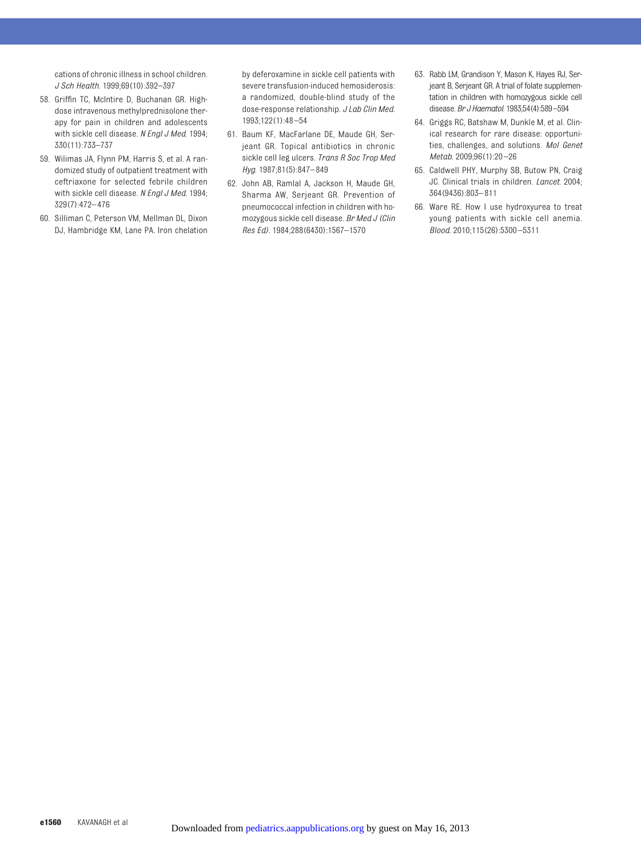cations of chronic illness in school children. *J Sch Health*. 1999;69(10):392–397

- <span id="page-9-1"></span>58. Griffin TC, McIntire D, Buchanan GR. Highdose intravenous methylprednisolone therapy for pain in children and adolescents with sickle cell disease. *N Engl J Med*. 1994; 330(11):733–737
- 59. Wilimas JA, Flynn PM, Harris S, et al. A randomized study of outpatient treatment with ceftriaxone for selected febrile children with sickle cell disease. *N Engl J Med*. 1994; 329(7):472– 476
- 60. Silliman C, Peterson VM, Mellman DL, Dixon DJ, Hambridge KM, Lane PA. Iron chelation

by deferoxamine in sickle cell patients with severe transfusion-induced hemosiderosis: a randomized, double-blind study of the dose-response relationship. *J Lab Clin Med*. 1993;122(1):48 –54

- 61. Baum KF, MacFarlane DE, Maude GH, Serjeant GR. Topical antibiotics in chronic sickle cell leg ulcers. *Trans R Soc Trop Med Hyg*. 1987;81(5):847– 849
- <span id="page-9-0"></span>62. John AB, Ramlal A, Jackson H, Maude GH, Sharma AW, Serjeant GR. Prevention of pneumococcal infection in children with homozygous sickle cell disease. *Br Med J (Clin Res Ed)*. 1984;288(6430):1567–1570
- <span id="page-9-2"></span>63. Rabb LM, Grandison Y, Mason K, Hayes RJ, Serjeant B, Serjeant GR. A trial of folate supplementation in children with homozygous sickle cell disease. *Br J Haematol*. 1983;54(4):589–594
- <span id="page-9-3"></span>64. Griggs RC, Batshaw M, Dunkle M, et al. Clinical research for rare disease: opportunities, challenges, and solutions. *Mol Genet Metab*. 2009;96(1):20 –26
- <span id="page-9-4"></span>65. Caldwell PHY, Murphy SB, Butow PN, Craig JC. Clinical trials in children. *Lancet*. 2004; 364(9436):803– 811
- <span id="page-9-5"></span>66. Ware RE. How I use hydroxyurea to treat young patients with sickle cell anemia. *Blood*. 2010;115(26):5300 –5311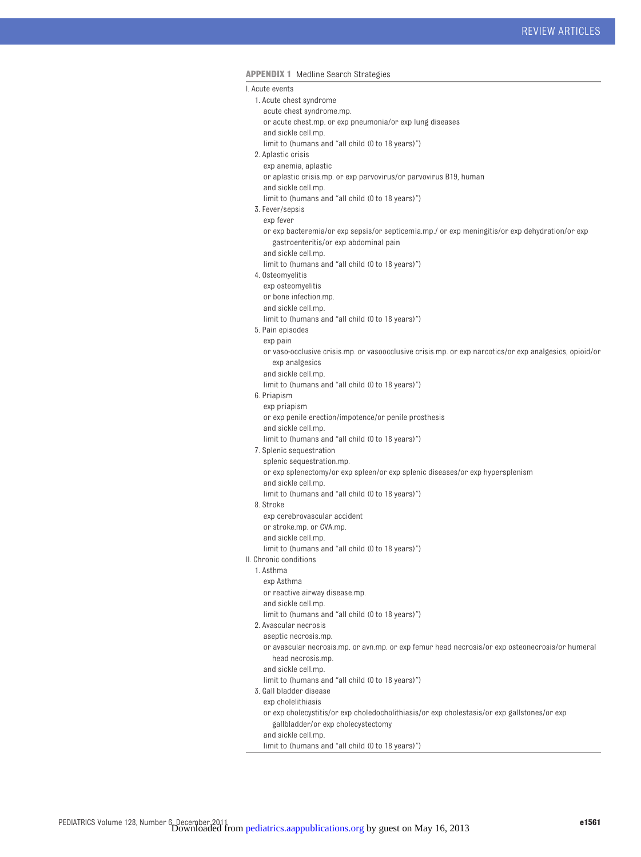#### **APPENDIX 1** Medline Search Strategies

I. Acute events

- 1. Acute chest syndrome
- acute chest syndrome.mp.
- or acute chest.mp. or exp pneumonia/or exp lung diseases
- and sickle cell.mp.
- limit to (humans and "all child (0 to 18 years)")
- 2. Aplastic crisis
	- exp anemia, aplastic
	- or aplastic crisis.mp. or exp parvovirus/or parvovirus B19, human
	- and sickle cell.mp.
	- limit to (humans and "all child (0 to 18 years)")
- 3. Fever/sepsis
- exp fever
- or exp bacteremia/or exp sepsis/or septicemia.mp./ or exp meningitis/or exp dehydration/or exp gastroenteritis/or exp abdominal pain
- and sickle cell.mp.
- limit to (humans and "all child (0 to 18 years)")
- 4. Osteomyelitis
	- exp osteomyelitis
	- or bone infection.mp.
	- and sickle cell.mp.
	- limit to (humans and "all child (0 to 18 years)")
- 5. Pain episodes
	- exp pain or vaso-occlusive crisis.mp. or vasoocclusive crisis.mp. or exp narcotics/or exp analgesics, opioid/or exp analgesics
	- and sickle cell.mp.
	- limit to (humans and "all child (0 to 18 years)")
- 6. Priapism
	- exp priapism
	- or exp penile erection/impotence/or penile prosthesis
	- and sickle cell.mp. limit to (humans and "all child (0 to 18 years)")
- 7. Splenic sequestration
- splenic sequestration.mp.
	- or exp splenectomy/or exp spleen/or exp splenic diseases/or exp hypersplenism
	- and sickle cell.mp.
	- limit to (humans and "all child (0 to 18 years)")
- 8. Stroke
	- exp cerebrovascular accident
	- or stroke.mp. or CVA.mp.
- and sickle cell.mp.
- limit to (humans and "all child (0 to 18 years)")
- II. Chronic conditions
	- 1. Asthma
		- exp Asthma
		- or reactive airway disease.mp.
	- and sickle cell.mp.
		- limit to (humans and "all child (0 to 18 years)")
	- 2. Avascular necrosis
		- aseptic necrosis.mp.
		- or avascular necrosis.mp. or avn.mp. or exp femur head necrosis/or exp osteonecrosis/or humeral head necrosis.mp.
		- and sickle cell.mp.
	- limit to (humans and "all child (0 to 18 years)")
	- 3. Gall bladder disease
	- exp cholelithiasis
		- or exp cholecystitis/or exp choledocholithiasis/or exp cholestasis/or exp gallstones/or exp gallbladder/or exp cholecystectomy
	- and sickle cell.mp.
	- limit to (humans and "all child (0 to 18 years)")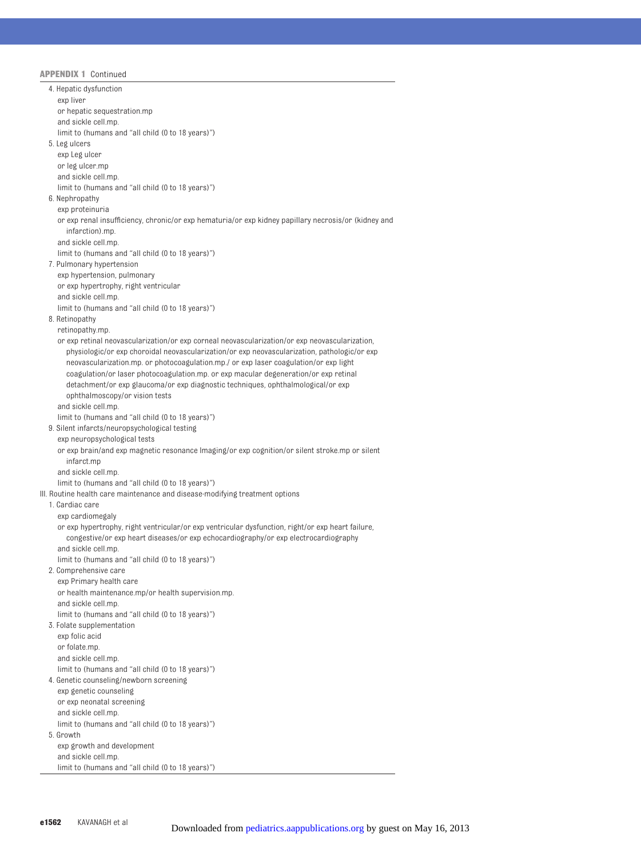| 4. Hepatic dysfunction                                                                                                                                                                   |
|------------------------------------------------------------------------------------------------------------------------------------------------------------------------------------------|
| exp liver                                                                                                                                                                                |
| or hepatic sequestration.mp                                                                                                                                                              |
| and sickle cell.mp.                                                                                                                                                                      |
| limit to (humans and "all child (0 to 18 years)")                                                                                                                                        |
| 5. Leg ulcers                                                                                                                                                                            |
| exp Leg ulcer                                                                                                                                                                            |
| or leg ulcer.mp                                                                                                                                                                          |
| and sickle cell.mp.                                                                                                                                                                      |
| limit to (humans and "all child (0 to 18 years)")                                                                                                                                        |
| 6. Nephropathy                                                                                                                                                                           |
| exp proteinuria                                                                                                                                                                          |
| or exp renal insufficiency, chronic/or exp hematuria/or exp kidney papillary necrosis/or (kidney and<br>infarction).mp.                                                                  |
| and sickle cell.mp.                                                                                                                                                                      |
| limit to (humans and "all child (0 to 18 years)")                                                                                                                                        |
| 7. Pulmonary hypertension                                                                                                                                                                |
| exp hypertension, pulmonary                                                                                                                                                              |
| or exp hypertrophy, right ventricular<br>and sickle cell.mp.                                                                                                                             |
| limit to (humans and "all child (0 to 18 years)")                                                                                                                                        |
| 8. Retinopathy                                                                                                                                                                           |
| retinopathy.mp.                                                                                                                                                                          |
| or exp retinal neovascularization/or exp corneal neovascularization/or exp neovascularization,                                                                                           |
| physiologic/or exp choroidal neovascularization/or exp neovascularization, pathologic/or exp<br>neovascularization.mp. or photocoagulation.mp./ or exp laser coagulation/or exp light    |
| coagulation/or laser photocoagulation.mp. or exp macular degeneration/or exp retinal<br>detachment/or exp glaucoma/or exp diagnostic techniques, ophthalmological/or exp                 |
| ophthalmoscopy/or vision tests                                                                                                                                                           |
| and sickle cell.mp.                                                                                                                                                                      |
| limit to (humans and "all child (0 to 18 years)")                                                                                                                                        |
| 9. Silent infarcts/neuropsychological testing                                                                                                                                            |
| exp neuropsychological tests                                                                                                                                                             |
| or exp brain/and exp magnetic resonance Imaging/or exp cognition/or silent stroke.mp or silent                                                                                           |
| infarct.mp                                                                                                                                                                               |
| and sickle cell.mp.                                                                                                                                                                      |
| limit to (humans and "all child (0 to 18 years)")                                                                                                                                        |
| III. Routine health care maintenance and disease-modifying treatment options                                                                                                             |
| 1. Cardiac care                                                                                                                                                                          |
| exp cardiomegaly                                                                                                                                                                         |
| or exp hypertrophy, right ventricular/or exp ventricular dysfunction, right/or exp heart failure,<br>congestive/or exp heart diseases/or exp echocardiography/or exp electrocardiography |
| and sickle cell.mp.                                                                                                                                                                      |
| limit to (humans and "all child (0 to 18 years)")                                                                                                                                        |
| 2. Comprehensive care                                                                                                                                                                    |
| exp Primary health care                                                                                                                                                                  |
| or health maintenance.mp/or health supervision.mp.                                                                                                                                       |
| and sickle cell.mp.                                                                                                                                                                      |
| limit to (humans and "all child (0 to 18 years)")                                                                                                                                        |
| 3. Folate supplementation                                                                                                                                                                |
| exp folic acid                                                                                                                                                                           |
| or folate.mp.                                                                                                                                                                            |
| and sickle cell.mp.                                                                                                                                                                      |
| limit to (humans and "all child (0 to 18 years)")                                                                                                                                        |
| 4. Genetic counseling/newborn screening                                                                                                                                                  |
| exp genetic counseling                                                                                                                                                                   |
| or exp neonatal screening                                                                                                                                                                |
| and sickle cell.mp.                                                                                                                                                                      |
| limit to (humans and "all child (0 to 18 years)")                                                                                                                                        |
| 5. Growth                                                                                                                                                                                |
| exp growth and development                                                                                                                                                               |
| and sickle cell.mp.                                                                                                                                                                      |
| limit to (humans and "all child (0 to 18 years)")                                                                                                                                        |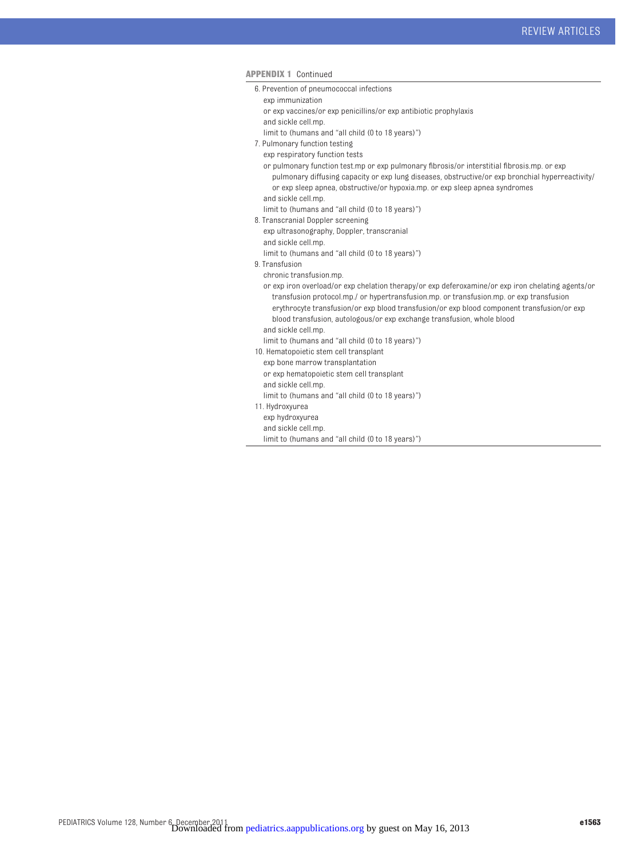| AMMENDIA I CONTINUED                                                                                                                                                                                                                                                                                                                                                                        |
|---------------------------------------------------------------------------------------------------------------------------------------------------------------------------------------------------------------------------------------------------------------------------------------------------------------------------------------------------------------------------------------------|
| 6. Prevention of pneumococcal infections                                                                                                                                                                                                                                                                                                                                                    |
| exp immunization                                                                                                                                                                                                                                                                                                                                                                            |
| or exp vaccines/or exp penicillins/or exp antibiotic prophylaxis                                                                                                                                                                                                                                                                                                                            |
| and sickle cell.mp.                                                                                                                                                                                                                                                                                                                                                                         |
| limit to (humans and "all child (0 to 18 years)")                                                                                                                                                                                                                                                                                                                                           |
| 7. Pulmonary function testing                                                                                                                                                                                                                                                                                                                                                               |
| exp respiratory function tests                                                                                                                                                                                                                                                                                                                                                              |
| or pulmonary function test.mp or exp pulmonary fibrosis/or interstitial fibrosis.mp. or exp<br>pulmonary diffusing capacity or exp lung diseases, obstructive/or exp bronchial hyperreactivity/<br>or exp sleep apnea, obstructive/or hypoxia.mp. or exp sleep apnea syndromes                                                                                                              |
| and sickle cell.mp.                                                                                                                                                                                                                                                                                                                                                                         |
| limit to (humans and "all child (0 to 18 years)")                                                                                                                                                                                                                                                                                                                                           |
| 8. Transcranial Doppler screening                                                                                                                                                                                                                                                                                                                                                           |
| exp ultrasonography, Doppler, transcranial                                                                                                                                                                                                                                                                                                                                                  |
| and sickle cell.mp.                                                                                                                                                                                                                                                                                                                                                                         |
| limit to (humans and "all child (0 to 18 years)")                                                                                                                                                                                                                                                                                                                                           |
| 9. Transfusion                                                                                                                                                                                                                                                                                                                                                                              |
| chronic transfusion.mp.                                                                                                                                                                                                                                                                                                                                                                     |
| or exp iron overload/or exp chelation therapy/or exp deferoxamine/or exp iron chelating agents/or<br>transfusion protocol.mp./ or hypertransfusion.mp. or transfusion.mp. or exp transfusion<br>erythrocyte transfusion/or exp blood transfusion/or exp blood component transfusion/or exp<br>blood transfusion, autologous/or exp exchange transfusion, whole blood<br>and sickle cell.mp. |
| limit to (humans and "all child (0 to 18 years)")                                                                                                                                                                                                                                                                                                                                           |
| 10. Hematopoietic stem cell transplant                                                                                                                                                                                                                                                                                                                                                      |
| exp bone marrow transplantation                                                                                                                                                                                                                                                                                                                                                             |
| or exp hematopoietic stem cell transplant                                                                                                                                                                                                                                                                                                                                                   |
| and sickle cell.mp.                                                                                                                                                                                                                                                                                                                                                                         |
| limit to (humans and "all child (0 to 18 years)")                                                                                                                                                                                                                                                                                                                                           |
| 11. Hydroxyurea                                                                                                                                                                                                                                                                                                                                                                             |
| exp hydroxyurea                                                                                                                                                                                                                                                                                                                                                                             |
| and sickle cell.mp.                                                                                                                                                                                                                                                                                                                                                                         |
| limit to (humans and "all child (0 to 18 years)")                                                                                                                                                                                                                                                                                                                                           |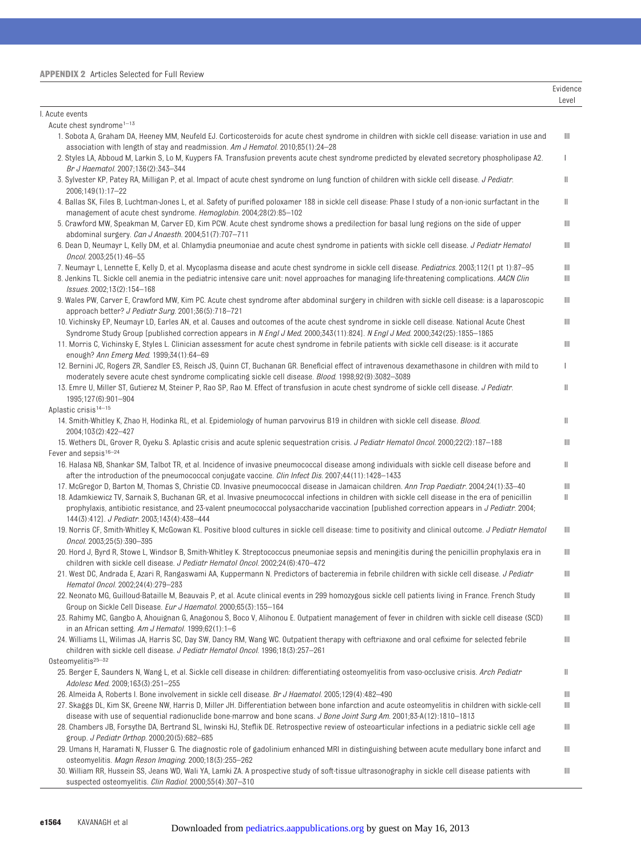|                                                                                                                                                                                                                                                                                                                                                 | Evidence<br>Level |
|-------------------------------------------------------------------------------------------------------------------------------------------------------------------------------------------------------------------------------------------------------------------------------------------------------------------------------------------------|-------------------|
| I. Acute events                                                                                                                                                                                                                                                                                                                                 |                   |
| Acute chest syndrome <sup>1-13</sup>                                                                                                                                                                                                                                                                                                            |                   |
| 1. Sobota A, Graham DA, Heeney MM, Neufeld EJ. Corticosteroids for acute chest syndrome in children with sickle cell disease: variation in use and<br>association with length of stay and readmission. Am J Hematol. $2010,85(1)$ :24-28                                                                                                        | Ш                 |
| 2. Styles LA, Abboud M, Larkin S, Lo M, Kuypers FA. Transfusion prevents acute chest syndrome predicted by elevated secretory phospholipase A2.<br>Br J Haematol. 2007;136(2):343-344                                                                                                                                                           | T                 |
| 3. Sylvester KP, Patey RA, Milligan P, et al. Impact of acute chest syndrome on lung function of children with sickle cell disease. J Pediatr.<br>2006;149(1):17-22                                                                                                                                                                             | Ш                 |
| 4. Ballas SK, Files B, Luchtman-Jones L, et al. Safety of purified poloxamer 188 in sickle cell disease: Phase I study of a non-ionic surfactant in the<br>management of acute chest syndrome. Hemoglobin. 2004;28(2):85-102                                                                                                                    | Ш                 |
| 5. Crawford MW, Speakman M, Carver ED, Kim PCW. Acute chest syndrome shows a predilection for basal lung regions on the side of upper<br>abdominal surgery. Can J Anaesth. 2004;51(7):707-711                                                                                                                                                   | Ш                 |
| 6. Dean D, Neumayr L, Kelly DM, et al. Chlamydia pneumoniae and acute chest syndrome in patients with sickle cell disease. J Pediatr Hematol<br>Oncol. 2003;25(1):46-55                                                                                                                                                                         | Ш                 |
| 7. Neumayr L, Lennette E, Kelly D, et al. Mycoplasma disease and acute chest syndrome in sickle cell disease. Pediatrics. 2003;112(1 pt 1):87-95<br>8. Jenkins TL. Sickle cell anemia in the pediatric intensive care unit: novel approaches for managing life-threatening complications. AACN Clin<br>Issues. 2002;13(2):154-168               | Ш<br>Ш            |
| 9. Wales PW, Carver E, Crawford MW, Kim PC. Acute chest syndrome after abdominal surgery in children with sickle cell disease: is a laparoscopic<br>approach better? J Pediatr Surg. 2001;36(5):718-721                                                                                                                                         | Ш                 |
| 10. Vichinsky EP, Neumayr LD, Earles AN, et al. Causes and outcomes of the acute chest syndrome in sickle cell disease. National Acute Chest<br>Syndrome Study Group [published correction appears in N Engl J Med. 2000;343(11):824]. N Engl J Med. 2000;342(25):1855–1865                                                                     | Ш                 |
| 11. Morris C, Vichinsky E, Styles L. Clinician assessment for acute chest syndrome in febrile patients with sickle cell disease: is it accurate<br>enough? Ann Emerg Med. 1999;34(1):64-69                                                                                                                                                      | Ш                 |
| 12. Bernini JC, Rogers ZR, Sandler ES, Reisch JS, Quinn CT, Buchanan GR. Beneficial effect of intravenous dexamethasone in children with mild to<br>moderately severe acute chest syndrome complicating sickle cell disease. <i>Blood</i> . 1998;92(9):3082–3089                                                                                | L                 |
| 13. Emre U, Miller ST, Gutierez M, Steiner P, Rao SP, Rao M. Effect of transfusion in acute chest syndrome of sickle cell disease. J Pediatr.<br>1995;127(6):901-904                                                                                                                                                                            | Ш                 |
| Aplastic crisis <sup>14-15</sup>                                                                                                                                                                                                                                                                                                                |                   |
| 14. Smith-Whitley K, Zhao H, Hodinka RL, et al. Epidemiology of human parvovirus B19 in children with sickle cell disease. Blood.<br>2004;103(2):422-427                                                                                                                                                                                        | Ш                 |
| 15. Wethers DL, Grover R, Oyeku S. Aplastic crisis and acute splenic sequestration crisis. J Pediatr Hematol Oncol. 2000;22(2):187–188                                                                                                                                                                                                          | Ш                 |
| Fever and sepsis <sup>16-24</sup><br>16. Halasa NB, Shankar SM, Talbot TR, et al. Incidence of invasive pneumococcal disease among individuals with sickle cell disease before and                                                                                                                                                              | Ш                 |
| after the introduction of the pneumococcal conjugate vaccine. Clin Infect Dis. 2007;44(11):1428-1433<br>17. McGregor D, Barton M, Thomas S, Christie CD. Invasive pneumococcal disease in Jamaican children. Ann Trop Paediatr. 2004;24(1):33-40                                                                                                | $\  \ $           |
| 18. Adamkiewicz TV, Sarnaik S, Buchanan GR, et al. Invasive pneumococcal infections in children with sickle cell disease in the era of penicillin<br>prophylaxis, antibiotic resistance, and 23-valent pneumococcal polysaccharide vaccination [published correction appears in J Pediatr. 2004;<br>144(3):412]. J Pediatr. 2003;143(4):438-444 | Ш                 |
| 19. Norris CF, Smith-Whitley K, McGowan KL. Positive blood cultures in sickle cell disease: time to positivity and clinical outcome. J Pediatr Hematol<br>Oncol. 2003;25(5):390-395                                                                                                                                                             | Ш                 |
| 20. Hord J, Byrd R, Stowe L, Windsor B, Smith-Whitley K. Streptococcus pneumoniae sepsis and meningitis during the penicillin prophylaxis era in<br>children with sickle cell disease. J Pediatr Hematol Oncol. 2002;24(6):470-472                                                                                                              | Ш                 |
| 21. West DC, Andrada E, Azari R, Rangaswami AA, Kuppermann N. Predictors of bacteremia in febrile children with sickle cell disease. J Pediatr<br>Hematol Oncol. 2002;24(4):279-283                                                                                                                                                             | Ш                 |
| 22. Neonato MG, Guilloud-Bataille M, Beauvais P, et al. Acute clinical events in 299 homozygous sickle cell patients living in France. French Study<br>Group on Sickle Cell Disease. Eur J Haematol. 2000;65(3):155-164                                                                                                                         | Ш                 |
| 23. Rahimy MC, Gangbo A, Ahouignan G, Anagonou S, Boco V, Alihonou E. Outpatient management of fever in children with sickle cell disease (SCD)<br>in an African setting. Am J Hematol. 1999;62(1):1-6                                                                                                                                          | Ш                 |
| 24. Williams LL, Wilimas JA, Harris SC, Day SW, Dancy RM, Wang WC. Outpatient therapy with ceftriaxone and oral cefixime for selected febrile<br>children with sickle cell disease. J Pediatr Hematol Oncol. 1996;18(3):257-261                                                                                                                 | Ш                 |
| Osteomyelitis $25-32$                                                                                                                                                                                                                                                                                                                           |                   |
| 25. Berger E, Saunders N, Wang L, et al. Sickle cell disease in children: differentiating osteomyelitis from vaso-occlusive crisis. Arch Pediatr<br>Adolesc Med. 2009;163(3):251-255                                                                                                                                                            | Ш                 |
| 26. Almeida A, Roberts I. Bone involvement in sickle cell disease. <i>Br J Haematol.</i> 2005;129(4):482-490                                                                                                                                                                                                                                    | Ш                 |
| 27. Skaggs DL, Kim SK, Greene NW, Harris D, Miller JH. Differentiation between bone infarction and acute osteomyelitis in children with sickle-cell<br>disease with use of sequential radionuclide bone-marrow and bone scans. <i>J Bone Joint Surg Am.</i> 2001;83-A(12):1810–1813                                                             | Ш                 |
| 28. Chambers JB, Forsythe DA, Bertrand SL, Iwinski HJ, Steflik DE. Retrospective review of osteoarticular infections in a pediatric sickle cell age<br>group. J Pediatr Orthop. 2000;20(5):682-685                                                                                                                                              | Ш                 |
| 29. Umans H, Haramati N, Flusser G. The diagnostic role of gadolinium enhanced MRI in distinguishing between acute medullary bone infarct and<br>osteomyelitis. Magn Reson Imaging. 2000;18(3):255-262                                                                                                                                          | Ш                 |
| 30. William RR, Hussein SS, Jeans WD, Wali YA, Lamki ZA. A prospective study of soft-tissue ultrasonography in sickle cell disease patients with<br>suspected osteomyelitis. Clin Radiol. 2000;55(4):307-310                                                                                                                                    | Ш                 |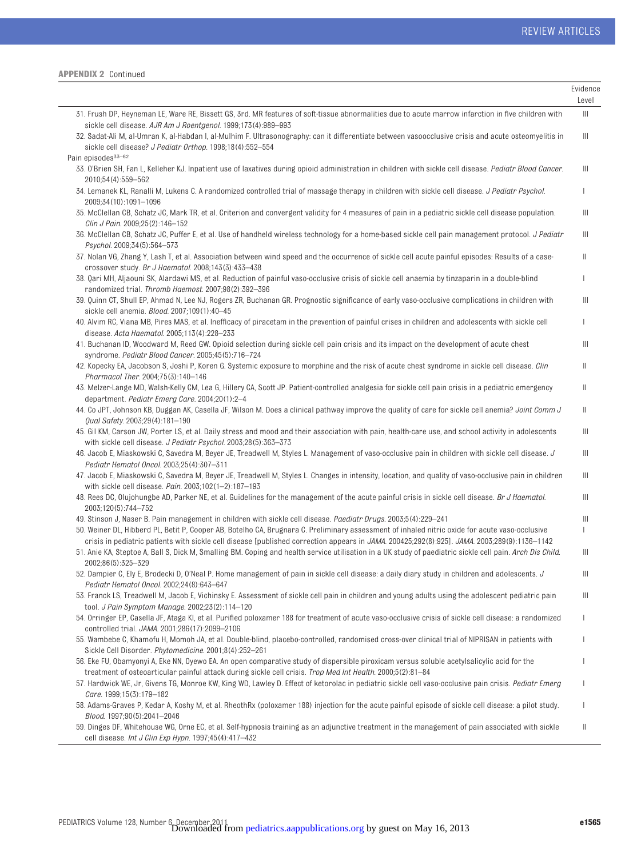|                                                                                                                                                                                                                                                                                                | Evidence<br>Level |
|------------------------------------------------------------------------------------------------------------------------------------------------------------------------------------------------------------------------------------------------------------------------------------------------|-------------------|
| 31. Frush DP, Heyneman LE, Ware RE, Bissett GS, 3rd. MR features of soft-tissue abnormalities due to acute marrow infarction in five children with                                                                                                                                             | Ш                 |
| sickle cell disease. AJR Am J Roentgenol. 1999;173(4):989-993                                                                                                                                                                                                                                  |                   |
| 32. Sadat-Ali M, al-Umran K, al-Habdan I, al-Mulhim F. Ultrasonography: can it differentiate between vasoocclusive crisis and acute osteomyelitis in<br>sickle cell disease? J Pediatr Orthop. 1998;18(4):552-554                                                                              | $\mathbb{H}$      |
| Pain episodes <sup>33-62</sup>                                                                                                                                                                                                                                                                 |                   |
| 33. O'Brien SH, Fan L, Kelleher KJ. Inpatient use of laxatives during opioid administration in children with sickle cell disease. Pediatr Blood Cancer.<br>2010;54(4):559-562                                                                                                                  | Ш                 |
| 34. Lemanek KL, Ranalli M, Lukens C. A randomized controlled trial of massage therapy in children with sickle cell disease. J Pediatr Psychol.<br>2009;34(10):1091-1096                                                                                                                        | T                 |
| 35. McClellan CB, Schatz JC, Mark TR, et al. Criterion and convergent validity for 4 measures of pain in a pediatric sickle cell disease population.<br>Clin J Pain. 2009;25(2):146-152                                                                                                        | Ш                 |
| 36. McClellan CB, Schatz JC, Puffer E, et al. Use of handheld wireless technology for a home-based sickle cell pain management protocol. J Pediatr<br>Psychol. 2009;34(5):564-573                                                                                                              | Ш                 |
| 37. Nolan VG, Zhang Y, Lash T, et al. Association between wind speed and the occurrence of sickle cell acute painful episodes: Results of a case-<br>crossover study. Br J Haematol. 2008;143(3):433-438                                                                                       | Ш                 |
| 38. Qari MH, Aljaouni SK, Alardawi MS, et al. Reduction of painful vaso-occlusive crisis of sickle cell anaemia by tinzaparin in a double-blind<br>randomized trial. Thromb Haemost. 2007;98(2):392-396                                                                                        | T                 |
| 39. Quinn CT, Shull EP, Ahmad N, Lee NJ, Rogers ZR, Buchanan GR. Prognostic significance of early vaso-occlusive complications in children with<br>sickle cell anemia. Blood. 2007;109(1):40-45                                                                                                | Ш                 |
| 40. Alvim RC, Viana MB, Pires MAS, et al. Inefficacy of piracetam in the prevention of painful crises in children and adolescents with sickle cell<br>disease. Acta Haematol. 2005;113(4):228-233                                                                                              | $\mathbf{I}$      |
| 41. Buchanan ID, Woodward M, Reed GW. Opioid selection during sickle cell pain crisis and its impact on the development of acute chest<br>syndrome. Pediatr Blood Cancer. 2005;45(5):716-724                                                                                                   | Ш                 |
| 42. Kopecky EA, Jacobson S, Joshi P, Koren G. Systemic exposure to morphine and the risk of acute chest syndrome in sickle cell disease. Clin<br>Pharmacol Ther. 2004;75(3):140-146                                                                                                            | Ш                 |
| 43. Melzer-Lange MD, Walsh-Kelly CM, Lea G, Hillery CA, Scott JP. Patient-controlled analgesia for sickle cell pain crisis in a pediatric emergency<br>department. Pediatr Emerg Care. 2004;20(1):2-4                                                                                          | Ш                 |
| 44. Co JPT, Johnson KB, Duggan AK, Casella JF, Wilson M. Does a clinical pathway improve the quality of care for sickle cell anemia? Joint Comm J<br>Qual Safety. 2003;29(4):181-190                                                                                                           | Ш                 |
| 45. Gil KM, Carson JW, Porter LS, et al. Daily stress and mood and their association with pain, health-care use, and school activity in adolescents<br>with sickle cell disease. J Pediatr Psychol. 2003;28(5):363-373                                                                         | Ш                 |
| 46. Jacob E, Miaskowski C, Savedra M, Beyer JE, Treadwell M, Styles L. Management of vaso-occlusive pain in children with sickle cell disease. J<br>Pediatr Hematol Oncol. 2003;25(4):307-311                                                                                                  | Ш                 |
| 47. Jacob E, Miaskowski C, Savedra M, Beyer JE, Treadwell M, Styles L. Changes in intensity, location, and quality of vaso-occlusive pain in children<br>with sickle cell disease. Pain. $2003;102(1-2):187-193$                                                                               | Ш                 |
| 48. Rees DC, Olujohungbe AD, Parker NE, et al. Guidelines for the management of the acute painful crisis in sickle cell disease. Br J Haematol.<br>2003;120(5):744-752                                                                                                                         | Ш                 |
| 49. Stinson J, Naser B. Pain management in children with sickle cell disease. Paediatr Drugs. 2003;5(4):229–241                                                                                                                                                                                | Ш                 |
| 50. Weiner DL, Hibberd PL, Betit P, Cooper AB, Botelho CA, Brugnara C. Preliminary assessment of inhaled nitric oxide for acute vaso-occlusive<br>crisis in pediatric patients with sickle cell disease [published correction appears in JAMA. 200425;292(8):925]. JAMA. 2003;289(9):1136-1142 | $\mathbf{I}$      |
| 51. Anie KA, Steptoe A, Ball S, Dick M, Smalling BM. Coping and health service utilisation in a UK study of paediatric sickle cell pain. Arch Dis Child.<br>2002:86(5):325-329                                                                                                                 | Ш                 |
| 52. Dampier C, Ely E, Brodecki D, O'Neal P. Home management of pain in sickle cell disease: a daily diary study in children and adolescents. J<br>Pediatr Hematol Oncol. 2002;24(8):643-647                                                                                                    | Ш                 |
| 53. Franck LS, Treadwell M, Jacob E, Vichinsky E. Assessment of sickle cell pain in children and young adults using the adolescent pediatric pain<br>tool. J Pain Symptom Manage. 2002;23(2):114-120                                                                                           | Ш                 |
| 54. Orringer EP, Casella JF, Ataga KI, et al. Purified poloxamer 188 for treatment of acute vaso-occlusive crisis of sickle cell disease: a randomized<br>controlled trial. JAMA. 2001;286(17):2099-2106                                                                                       | T                 |
| 55. Wambebe C, Khamofu H, Momoh JA, et al. Double-blind, placebo-controlled, randomised cross-over clinical trial of NIPRISAN in patients with<br>Sickle Cell Disorder. Phytomedicine. 2001;8(4):252-261                                                                                       | Ш                 |
| 56. Eke FU, Obamyonyi A, Eke NN, Oyewo EA. An open comparative study of dispersible piroxicam versus soluble acetylsalicylic acid for the<br>treatment of osteoarticular painful attack during sickle cell crisis. Trop Med Int Health. 2000;5(2):81-84                                        | I                 |
| 57. Hardwick WE, Jr, Givens TG, Monroe KW, King WD, Lawley D. Effect of ketorolac in pediatric sickle cell vaso-occlusive pain crisis. Pediatr Emerg<br>Care. 1999;15(3):179-182                                                                                                               | $\mathbf{I}$      |
| 58. Adams-Graves P, Kedar A, Koshy M, et al. RheothRx (poloxamer 188) injection for the acute painful episode of sickle cell disease: a pilot study.<br>Blood. 1997;90(5):2041-2046                                                                                                            | $\mathbf{I}$      |
| 59. Dinges DF, Whitehouse WG, Orne EC, et al. Self-hypnosis training as an adjunctive treatment in the management of pain associated with sickle<br>cell disease. Int J Clin Exp Hypn. 1997;45(4):417-432                                                                                      | Ш                 |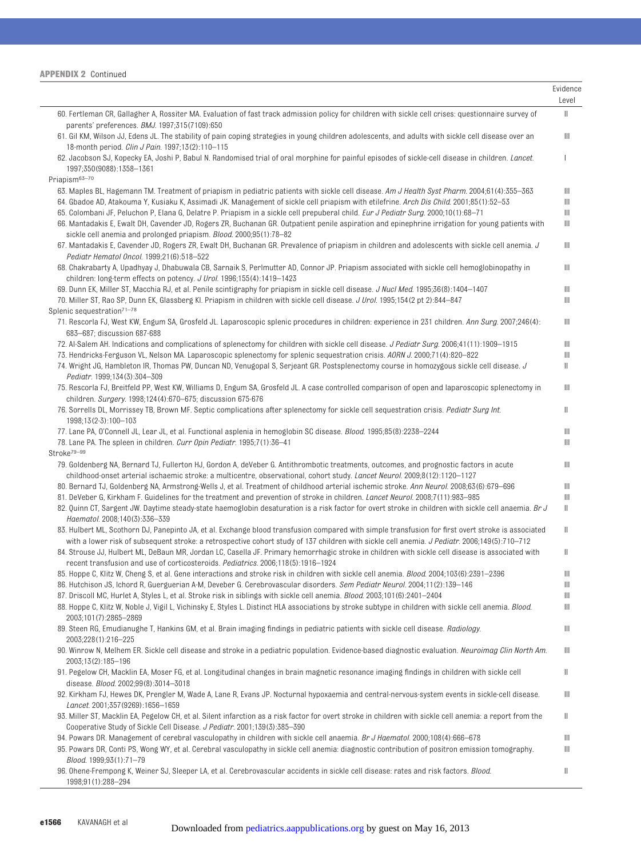|                                                                                                                                                                                                                                                                                                    | Evidence<br>Level |
|----------------------------------------------------------------------------------------------------------------------------------------------------------------------------------------------------------------------------------------------------------------------------------------------------|-------------------|
| 60. Fertleman CR, Gallagher A, Rossiter MA. Evaluation of fast track admission policy for children with sickle cell crises: questionnaire survey of<br>parents' preferences. BMJ. 1997;315(7109):650                                                                                               | $\mathbb{I}$      |
| 61. Gil KM, Wilson JJ, Edens JL. The stability of pain coping strategies in young children adolescents, and adults with sickle cell disease over an<br>18-month period. Clin J Pain. 1997;13(2):110-115                                                                                            | Ш                 |
| 62. Jacobson SJ, Kopecky EA, Joshi P, Babul N. Randomised trial of oral morphine for painful episodes of sickle-cell disease in children. <i>Lancet</i> .<br>1997;350(9088):1358-1361                                                                                                              | 1                 |
| Priapism <sup>63-70</sup>                                                                                                                                                                                                                                                                          |                   |
| 63. Maples BL, Hagemann TM. Treatment of priapism in pediatric patients with sickle cell disease. Am J Health Syst Pharm. 2004;61(4):355–363                                                                                                                                                       | Ш                 |
| 64. Gbadoe AD, Atakouma Y, Kusiaku K, Assimadi JK. Management of sickle cell priapism with etilefrine. Arch Dis Child. 2001;85(1):52-53<br>65. Colombani JF, Peluchon P, Elana G, Delatre P. Priapism in a sickle cell prepuberal child. <i>Eur J Pediatr Surg.</i> 2000;10(1):68–71               | Ш<br>Ш            |
| 66. Mantadakis E, Ewalt DH, Cavender JD, Rogers ZR, Buchanan GR. Outpatient penile aspiration and epinephrine irrigation for young patients with                                                                                                                                                   | Ш                 |
| sickle cell anemia and prolonged priapism. Blood. 2000;95(1):78-82                                                                                                                                                                                                                                 |                   |
| 67. Mantadakis E, Cavender JD, Rogers ZR, Ewalt DH, Buchanan GR. Prevalence of priapism in children and adolescents with sickle cell anemia. J<br>Pediatr Hematol Oncol. 1999;21(6):518-522                                                                                                        | Ш                 |
| 68. Chakrabarty A, Upadhyay J, Dhabuwala CB, Sarnaik S, Perlmutter AD, Connor JP. Priapism associated with sickle cell hemoglobinopathy in<br>children: long-term effects on potency. J Urol. 1996;155(4):1419-1423                                                                                | Ш                 |
| 69. Dunn EK, Miller ST, Macchia RJ, et al. Penile scintigraphy for priapism in sickle cell disease. J Nucl Med. 1995;36(8):1404-1407                                                                                                                                                               | Ш                 |
| 70. Miller ST, Rao SP, Dunn EK, Glassberg Kl. Priapism in children with sickle cell disease. J Urol. 1995;154(2 pt 2):844–847<br>Splenic sequestration <sup>71-78</sup>                                                                                                                            | Ш                 |
| 71. Rescorla FJ, West KW, Engum SA, Grosfeld JL. Laparoscopic splenic procedures in children: experience in 231 children. Ann Surg. 2007;246(4):<br>683-687; discussion 687-688                                                                                                                    | Ш                 |
| 72. Al-Salem AH. Indications and complications of splenectomy for children with sickle cell disease. J Pediatr Surg. 2006;41(11):1909-1915                                                                                                                                                         | Ш                 |
| 73. Hendricks-Ferguson VL, Nelson MA. Laparoscopic splenectomy for splenic sequestration crisis. AORN J. 2000;71(4):820–822                                                                                                                                                                        | Ш                 |
| 74. Wright JG, Hambleton IR, Thomas PW, Duncan ND, Venugopal S, Serjeant GR. Postsplenectomy course in homozygous sickle cell disease. J<br>Pediatr. 1999;134(3):304-309                                                                                                                           | Ш                 |
| 75. Rescorla FJ, Breitfeld PP, West KW, Williams D, Engum SA, Grosfeld JL. A case controlled comparison of open and laparoscopic splenectomy in<br>children. Surgery. 1998;124(4):670-675; discussion 675-676                                                                                      | Ш                 |
| 76. Sorrells DL, Morrissey TB, Brown MF. Septic complications after splenectomy for sickle cell sequestration crisis. Pediatr Surg Int.<br>1998;13(2-3):100-103                                                                                                                                    | Ш                 |
| 77. Lane PA, O'Connell JL, Lear JL, et al. Functional asplenia in hemoglobin SC disease. <i>Blood</i> . 1995;85(8):2238—2244                                                                                                                                                                       | Ш                 |
| 78. Lane PA. The spleen in children. Curr Opin Pediatr. 1995;7(1):36-41                                                                                                                                                                                                                            | Ш                 |
| Stroke <sup>79-99</sup><br>79. Goldenberg NA, Bernard TJ, Fullerton HJ, Gordon A, deVeber G. Antithrombotic treatments, outcomes, and prognostic factors in acute                                                                                                                                  | Ш                 |
| childhood-onset arterial ischaemic stroke: a multicentre, observational, cohort study. Lancet Neurol. 2009;8(12):1120-1127<br>80. Bernard TJ, Goldenberg NA, Armstrong-Wells J, et al. Treatment of childhood arterial ischemic stroke. Ann Neurol. 2008;63(6):679–696                             | Ш                 |
| 81. DeVeber G, Kirkham F. Guidelines for the treatment and prevention of stroke in children. <i>Lancet Neurol.</i> 2008;7(11):983–985                                                                                                                                                              | Ш                 |
| 82. Quinn CT, Sargent JW. Daytime steady-state haemoglobin desaturation is a risk factor for overt stroke in children with sickle cell anaemia. <i>Br J</i><br>Haematol. 2008;140(3):336-339                                                                                                       | Ш                 |
| 83. Hulbert ML, Scothorn DJ, Panepinto JA, et al. Exchange blood transfusion compared with simple transfusion for first overt stroke is associated<br>with a lower risk of subsequent stroke: a retrospective cohort study of 137 children with sickle cell anemia. J Pediatr. 2006;149(5):710-712 | Ш                 |
| 84. Strouse JJ, Hulbert ML, DeBaun MR, Jordan LC, Casella JF. Primary hemorrhagic stroke in children with sickle cell disease is associated with<br>recent transfusion and use of corticosteroids. Pediatrics. 2006;118(5):1916-1924                                                               | Ш.                |
| 85. Hoppe C, Klitz W, Cheng S, et al. Gene interactions and stroke risk in children with sickle cell anemia. Blood. 2004;103(6):2391-2396                                                                                                                                                          | Ш                 |
| 86. Hutchison JS, Ichord R, Guerguerian A-M, Deveber G. Cerebrovascular disorders. Sem Pediatr Neurol. 2004;11(2):139-146                                                                                                                                                                          | Ш                 |
| 87. Driscoll MC, Hurlet A, Styles L, et al. Stroke risk in siblings with sickle cell anemia. <i>Blood.</i> 2003;101(6):2401-2404                                                                                                                                                                   | Ш                 |
| 88. Hoppe C, Klitz W, Noble J, Vigil L, Vichinsky E, Styles L. Distinct HLA associations by stroke subtype in children with sickle cell anemia. Blood.<br>2003;101(7):2865-2869                                                                                                                    | Ш                 |
| 89. Steen RG, Emudianughe T, Hankins GM, et al. Brain imaging findings in pediatric patients with sickle cell disease. Radiology.<br>2003;228(1):216-225                                                                                                                                           | Ш                 |
| 90. Winrow N, Melhem ER. Sickle cell disease and stroke in a pediatric population. Evidence-based diagnostic evaluation. Neuroimag Clin North Am.<br>2003;13(2):185-196                                                                                                                            | Ш                 |
| 91. Pegelow CH, Macklin EA, Moser FG, et al. Longitudinal changes in brain magnetic resonance imaging findings in children with sickle cell<br>disease. Blood. 2002;99(8):3014-3018                                                                                                                | Ш                 |
| 92. Kirkham FJ, Hewes DK, Prengler M, Wade A, Lane R, Evans JP. Nocturnal hypoxaemia and central-nervous-system events in sickle-cell disease.<br>Lancet. 2001;357(9269):1656-1659                                                                                                                 | Ш                 |
| 93. Miller ST, Macklin EA, Pegelow CH, et al. Silent infarction as a risk factor for overt stroke in children with sickle cell anemia: a report from the<br>Cooperative Study of Sickle Cell Disease. J Pediatr. 2001;139(3):385-390                                                               | Ш                 |
| 94. Powars DR. Management of cerebral vasculopathy in children with sickle cell anaemia. Br J Haematol. 2000;108(4):666–678                                                                                                                                                                        | Ш                 |
| 95. Powars DR, Conti PS, Wong WY, et al. Cerebral vasculopathy in sickle cell anemia: diagnostic contribution of positron emission tomography.<br>Blood. 1999;93(1):71-79                                                                                                                          | Ш                 |
| 96. Ohene-Frempong K, Weiner SJ, Sleeper LA, et al. Cerebrovascular accidents in sickle cell disease: rates and risk factors. Blood.<br>1998;91(1):288-294                                                                                                                                         | Ш                 |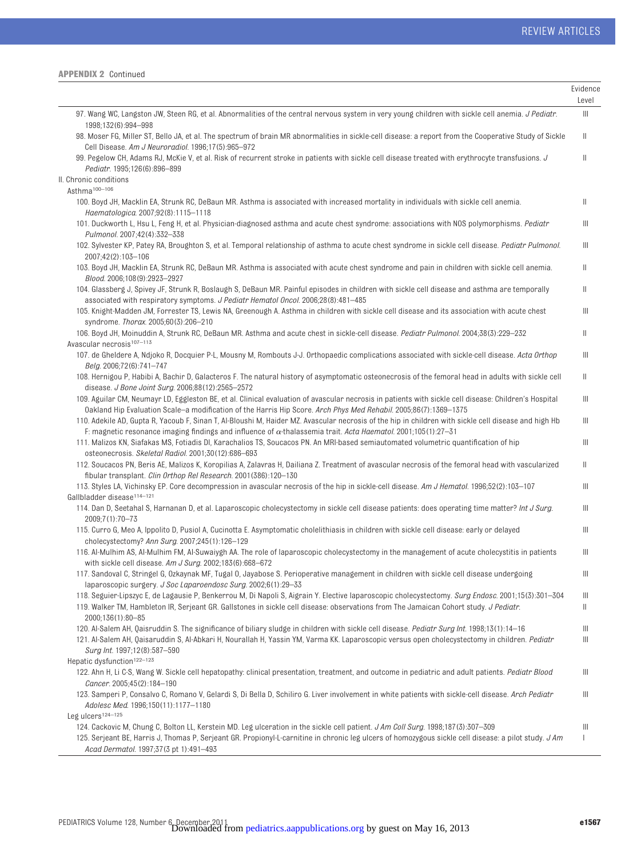|                                                                                                                                                                                                                                                                                                                                    | Evidence<br>Level |
|------------------------------------------------------------------------------------------------------------------------------------------------------------------------------------------------------------------------------------------------------------------------------------------------------------------------------------|-------------------|
| 97. Wang WC, Langston JW, Steen RG, et al. Abnormalities of the central nervous system in very young children with sickle cell anemia. <i>J Pediatr.</i><br>1998;132(6):994-998                                                                                                                                                    | $\  \ $           |
| 98. Moser FG, Miller ST, Bello JA, et al. The spectrum of brain MR abnormalities in sickle-cell disease: a report from the Cooperative Study of Sickle<br>Cell Disease. Am J Neuroradiol. 1996;17(5):965-972                                                                                                                       | Ш                 |
| 99. Pegelow CH, Adams RJ, McKie V, et al. Risk of recurrent stroke in patients with sickle cell disease treated with erythrocyte transfusions. J<br>Pediatr. 1995;126(6):896-899                                                                                                                                                   | Ш                 |
| II. Chronic conditions                                                                                                                                                                                                                                                                                                             |                   |
| Asthma <sup>100-106</sup>                                                                                                                                                                                                                                                                                                          |                   |
| 100. Boyd JH, Macklin EA, Strunk RC, DeBaun MR. Asthma is associated with increased mortality in individuals with sickle cell anemia.<br>Haematologica. 2007;92(8):1115-1118                                                                                                                                                       | $\parallel$       |
| 101. Duckworth L, Hsu L, Feng H, et al. Physician-diagnosed asthma and acute chest syndrome: associations with NOS polymorphisms. Pediatr                                                                                                                                                                                          | Ш                 |
| Pulmonol. 2007;42(4):332-338<br>102. Sylvester KP, Patey RA, Broughton S, et al. Temporal relationship of asthma to acute chest syndrome in sickle cell disease. Pediatr Pulmonol.<br>2007;42(2):103-106                                                                                                                           | Ш                 |
| 103. Boyd JH, Macklin EA, Strunk RC, DeBaun MR. Asthma is associated with acute chest syndrome and pain in children with sickle cell anemia.<br>Blood. 2006;108(9):2923-2927                                                                                                                                                       | Ш                 |
| 104. Glassberg J, Spivey JF, Strunk R, Boslaugh S, DeBaun MR. Painful episodes in children with sickle cell disease and asthma are temporally<br>associated with respiratory symptoms. J Pediatr Hematol Oncol. 2006;28(8):481-485                                                                                                 | Ш                 |
| 105. Knight-Madden JM, Forrester TS, Lewis NA, Greenough A. Asthma in children with sickle cell disease and its association with acute chest<br>syndrome. Thorax. 2005;60(3):206-210                                                                                                                                               | $\mathbb{H}$      |
| 106. Boyd JH, Moinuddin A, Strunk RC, DeBaun MR. Asthma and acute chest in sickle-cell disease. Pediatr Pulmonol. 2004;38(3):229-232<br>Avascular necrosis <sup>107-113</sup>                                                                                                                                                      | $\parallel$       |
| 107. de Gheldere A, Ndjoko R, Docquier P-L, Mousny M, Rombouts J-J. Orthopaedic complications associated with sickle-cell disease. Acta Orthop<br>Belg. 2006;72(6):741-747                                                                                                                                                         | Ш                 |
| 108. Hernigou P, Habibi A, Bachir D, Galacteros F. The natural history of asymptomatic osteonecrosis of the femoral head in adults with sickle cell<br>disease. J Bone Joint Surg. 2006;88(12):2565-2572                                                                                                                           | Ш                 |
| 109. Aguilar CM, Neumayr LD, Eggleston BE, et al. Clinical evaluation of avascular necrosis in patients with sickle cell disease: Children's Hospital<br>Oakland Hip Evaluation Scale-a modification of the Harris Hip Score. Arch Phys Med Rehabil. 2005;86(7):1369-1375                                                          | Ш                 |
| 110. Adekile AD, Gupta R, Yacoub F, Sinan T, Al-Bloushi M, Haider MZ. Avascular necrosis of the hip in children with sickle cell disease and high Hb<br>F: magnetic resonance imaging findings and influence of $\alpha$ -thalassemia trait. Acta Haematol. 2001;105(1):27-31                                                      | Ш                 |
| 111. Malizos KN, Siafakas MS, Fotiadis DI, Karachalios TS, Soucacos PN. An MRI-based semiautomated volumetric quantification of hip<br>osteonecrosis. Skeletal Radiol. 2001;30(12):686-693                                                                                                                                         | Ш                 |
| 112. Soucacos PN, Beris AE, Malizos K, Koropilias A, Zalavras H, Dailiana Z. Treatment of avascular necrosis of the femoral head with vascularized<br>fibular transplant. Clin Orthop Rel Research. 2001(386):120-130                                                                                                              | Ш                 |
| 113. Styles LA, Vichinsky EP. Core decompression in avascular necrosis of the hip in sickle-cell disease. Am J Hematol. 1996;52(2):103-107<br>Gallbladder disease <sup>114-121</sup>                                                                                                                                               | Ш                 |
| 114. Dan D, Seetahal S, Harnanan D, et al. Laparoscopic cholecystectomy in sickle cell disease patients: does operating time matter? Int J Surg.<br>2009;7(1):70-73                                                                                                                                                                | Ш                 |
| 115. Curro G, Meo A, Ippolito D, Pusiol A, Cucinotta E. Asymptomatic cholelithiasis in children with sickle cell disease: early or delayed<br>cholecystectomy? Ann Surg. 2007;245(1):126-129                                                                                                                                       | Ш                 |
| 116. Al-Mulhim AS, Al-Mulhim FM, Al-Suwaiygh AA. The role of laparoscopic cholecystectomy in the management of acute cholecystitis in patients<br>with sickle cell disease. Am J Surg. 2002;183(6):668-672                                                                                                                         | Ш                 |
| 117. Sandoval C, Stringel G, Ozkaynak MF, Tugal O, Jayabose S. Perioperative management in children with sickle cell disease undergoing<br>laparoscopic surgery. J Soc Laparoendosc Surg. 2002;6(1):29-33                                                                                                                          | Ш                 |
| 118. Seguier-Lipszyc E, de Lagausie P, Benkerrou M, Di Napoli S, Aigrain Y. Elective laparoscopic cholecystectomy. Surg Endosc. 2001;15(3):301-304<br>119. Walker TM, Hambleton IR, Serjeant GR. Gallstones in sickle cell disease: observations from The Jamaican Cohort study. J Pediatr.<br>2000;136(1):80-85                   | Ш<br>Ш            |
| 120. Al-Salem AH, Qaisruddin S. The significance of biliary sludge in children with sickle cell disease. Pediatr Surg Int. 1998;13(1):14–16<br>121. Al-Salem AH, Qaisaruddin S, Al-Abkari H, Nourallah H, Yassin YM, Varma KK. Laparoscopic versus open cholecystectomy in children. Pediatr<br>Surg Int. 1997;12(8):587-590       | Ш<br>Ш            |
| Hepatic dysfunction <sup>122-123</sup><br>122. Ahn H, Li C-S, Wang W. Sickle cell hepatopathy: clinical presentation, treatment, and outcome in pediatric and adult patients. Pediatr Blood                                                                                                                                        | Ш                 |
| Cancer. 2005;45(2):184-190<br>123. Samperi P, Consalvo C, Romano V, Gelardi S, Di Bella D, Schiliro G. Liver involvement in white patients with sickle-cell disease. Arch Pediatr<br>Adolesc Med. 1996;150(11):1177-1180<br>Leg ulcers <sup>124-125</sup>                                                                          | Ш                 |
| 124. Cackovic M, Chung C, Bolton LL, Kerstein MD. Leg ulceration in the sickle cell patient. J Am Coll Surg. 1998;187(3):307-309<br>125. Serjeant BE, Harris J, Thomas P, Serjeant GR. Propionyl-L-carnitine in chronic leg ulcers of homozygous sickle cell disease: a pilot study. JAm<br>Acad Dermatol. 1997;37(3 pt 1):491-493 | Ш<br>ı            |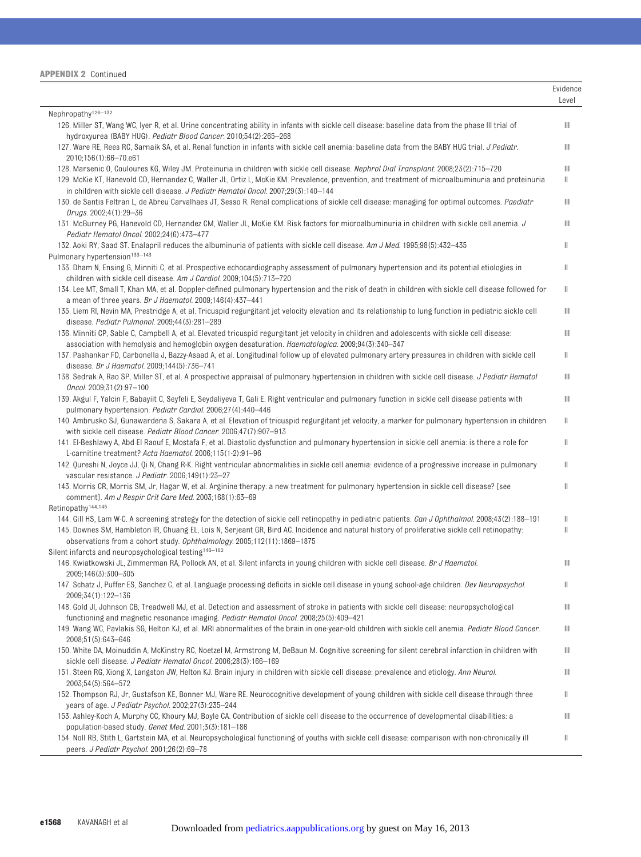| <b>APPENDIX 2 Continued</b> |  |  |
|-----------------------------|--|--|
|-----------------------------|--|--|

|                                                                                                                                                                                                                                                                                                        | Evidence<br>Level |
|--------------------------------------------------------------------------------------------------------------------------------------------------------------------------------------------------------------------------------------------------------------------------------------------------------|-------------------|
| Nephropathy <sup>126-132</sup>                                                                                                                                                                                                                                                                         |                   |
| 126. Miller ST, Wang WC, Iyer R, et al. Urine concentrating ability in infants with sickle cell disease: baseline data from the phase III trial of<br>hydroxyurea (BABY HUG). Pediatr Blood Cancer. 2010;54(2):265-268                                                                                 | Ш                 |
| 127. Ware RE, Rees RC, Sarnaik SA, et al. Renal function in infants with sickle cell anemia: baseline data from the BABY HUG trial. J Pediatr.<br>2010;156(1):66-70.e61                                                                                                                                | Ш                 |
| 128. Marsenic 0, Couloures KG, Wiley JM. Proteinuria in children with sickle cell disease. Nephrol Dial Transplant. 2008;23(2):715-720<br>129. McKie KT, Hanevold CD, Hernandez C, Waller JL, Ortiz L, McKie KM. Prevalence, prevention, and treatment of microalbuminuria and proteinuria             | Ш<br>Ш            |
| in children with sickle cell disease. J Pediatr Hematol Oncol. 2007;29(3):140-144<br>130. de Santis Feltran L, de Abreu Carvalhaes JT, Sesso R. Renal complications of sickle cell disease: managing for optimal outcomes. Paediatr                                                                    | Ш                 |
| Drugs. 2002;4(1):29-36<br>131. McBurney PG, Hanevold CD, Hernandez CM, Waller JL, McKie KM. Risk factors for microalbuminuria in children with sickle cell anemia. J                                                                                                                                   | Ш                 |
| Pediatr Hematol Oncol. 2002;24(6):473-477                                                                                                                                                                                                                                                              |                   |
| 132. Aoki RY, Saad ST. Enalapril reduces the albuminuria of patients with sickle cell disease. Am J Med. 1995;98(5):432-435                                                                                                                                                                            | Ш                 |
| Pulmonary hypertension <sup>133-143</sup><br>133. Dham N, Ensing G, Minniti C, et al. Prospective echocardiography assessment of pulmonary hypertension and its potential etiologies in                                                                                                                | Ш                 |
| children with sickle cell disease. Am J Cardiol. 2009;104(5):713-720                                                                                                                                                                                                                                   |                   |
| 134. Lee MT, Small T, Khan MA, et al. Doppler-defined pulmonary hypertension and the risk of death in children with sickle cell disease followed for<br>a mean of three years. Br J Haematol. 2009;146(4):437-441                                                                                      | Ш                 |
| 135. Liem RI, Nevin MA, Prestridge A, et al. Tricuspid regurgitant jet velocity elevation and its relationship to lung function in pediatric sickle cell<br>disease. Pediatr Pulmonol. 2009;44(3):281-289                                                                                              | Ш                 |
| 136. Minniti CP, Sable C, Campbell A, et al. Elevated tricuspid regurgitant jet velocity in children and adolescents with sickle cell disease:<br>association with hemolysis and hemoglobin oxygen desaturation. <i>Haematologica</i> . 2009;94(3):340–347                                             | Ш                 |
| 137. Pashankar FD, Carbonella J, Bazzy-Asaad A, et al. Longitudinal follow up of elevated pulmonary artery pressures in children with sickle cell<br>disease. Br J Haematol. 2009;144(5):736-741                                                                                                       | Ш                 |
| 138. Sedrak A, Rao SP, Miller ST, et al. A prospective appraisal of pulmonary hypertension in children with sickle cell disease. J Pediatr Hematol                                                                                                                                                     | Ш                 |
| Oncol. 2009;31(2):97-100<br>139. Akgul F, Yalcin F, Babayiit C, Seyfeli E, Seydaliyeva T, Gali E. Right ventricular and pulmonary function in sickle cell disease patients with                                                                                                                        | Ш                 |
| pulmonary hypertension. Pediatr Cardiol. 2006;27(4):440-446<br>140. Ambrusko SJ, Gunawardena S, Sakara A, et al. Elevation of tricuspid regurgitant jet velocity, a marker for pulmonary hypertension in children                                                                                      | Ш                 |
| with sickle cell disease. Pediatr Blood Cancer. 2006;47(7):907-913<br>141. El-Beshlawy A, Abd El Raouf E, Mostafa F, et al. Diastolic dysfunction and pulmonary hypertension in sickle cell anemia: is there a role for                                                                                | Ш                 |
| L-carnitine treatment? Acta Haematol. 2006;115(1-2):91-96                                                                                                                                                                                                                                              |                   |
| 142. Qureshi N, Joyce JJ, Qi N, Chang R-K. Right ventricular abnormalities in sickle cell anemia: evidence of a progressive increase in pulmonary<br>vascular resistance. J Pediatr. 2006;149(1):23-27                                                                                                 | Ш                 |
| 143. Morris CR, Morris SM, Jr, Hagar W, et al. Arginine therapy: a new treatment for pulmonary hypertension in sickle cell disease? [see<br>comment]. Am J Respir Crit Care Med. 2003;168(1):63-69                                                                                                     | Ш                 |
| Retinopathy <sup>144,145</sup>                                                                                                                                                                                                                                                                         |                   |
| 144. Gill HS, Lam W-C. A screening strategy for the detection of sickle cell retinopathy in pediatric patients. Can J Ophthalmol. 2008;43(2):188-191<br>145. Downes SM, Hambleton IR, Chuang EL, Lois N, Serjeant GR, Bird AC. Incidence and natural history of proliferative sickle cell retinopathy: | Ш<br>Ш            |
| observations from a cohort study. Ophthalmology. 2005;112(11):1869-1875<br>Silent infarcts and neuropsychological testing <sup>146-162</sup>                                                                                                                                                           |                   |
| 146. Kwiatkowski JL, Zimmerman RA, Pollock AN, et al. Silent infarcts in young children with sickle cell disease. Br J Haematol.<br>2009;146(3):300-305                                                                                                                                                | Ш                 |
| 147. Schatz J, Puffer ES, Sanchez C, et al. Language processing deficits in sickle cell disease in young school-age children. Dev Neuropsychol.<br>2009;34(1):122-136                                                                                                                                  | Ш                 |
| 148. Gold Jl, Johnson CB, Treadwell MJ, et al. Detection and assessment of stroke in patients with sickle cell disease: neuropsychological                                                                                                                                                             | Ш                 |
| functioning and magnetic resonance imaging. Pediatr Hematol Oncol. 2008;25(5):409-421<br>149. Wang WC, Pavlakis SG, Helton KJ, et al. MRI abnormalities of the brain in one-year-old children with sickle cell anemia. Pediatr Blood Cancer.                                                           | Ш                 |
| 2008;51(5):643-646<br>150. White DA, Moinuddin A, McKinstry RC, Noetzel M, Armstrong M, DeBaun M. Cognitive screening for silent cerebral infarction in children with                                                                                                                                  | Ш                 |
| sickle cell disease. J Pediatr Hematol Oncol. 2006;28(3):166-169<br>151. Steen RG, Xiong X, Langston JW, Helton KJ. Brain injury in children with sickle cell disease: prevalence and etiology. Ann Neurol.                                                                                            | Ш                 |
| 2003;54(5):564-572                                                                                                                                                                                                                                                                                     |                   |
| 152. Thompson RJ, Jr, Gustafson KE, Bonner MJ, Ware RE. Neurocognitive development of young children with sickle cell disease through three<br>years of age. <i>J Pediatr Psychol.</i> 2002;27(3):235-244                                                                                              | Ш.                |
| 153. Ashley-Koch A, Murphy CC, Khoury MJ, Boyle CA. Contribution of sickle cell disease to the occurrence of developmental disabilities: a<br>population-based study. Genet Med. 2001;3(3):181-186                                                                                                     | Ш                 |
| 154. Noll RB, Stith L, Gartstein MA, et al. Neuropsychological functioning of youths with sickle cell disease: comparison with non-chronically ill<br>peers. J Pediatr Psychol. 2001;26(2):69-78                                                                                                       | Ш                 |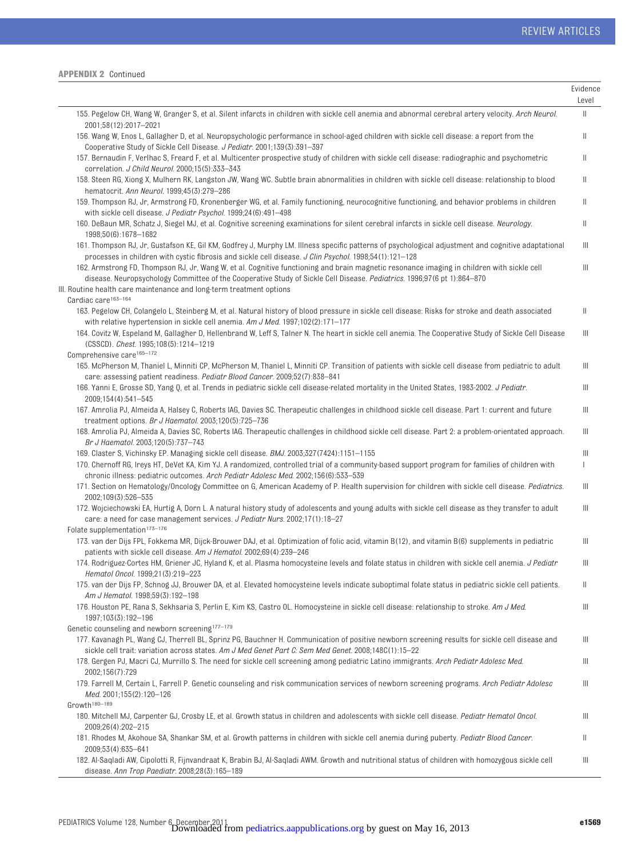|                                                                                                                                                                                                                                                                                                                                               | Evidence<br>Level                                              |
|-----------------------------------------------------------------------------------------------------------------------------------------------------------------------------------------------------------------------------------------------------------------------------------------------------------------------------------------------|----------------------------------------------------------------|
| 155. Pegelow CH, Wang W, Granger S, et al. Silent infarcts in children with sickle cell anemia and abnormal cerebral artery velocity. Arch Neurol.<br>2001;58(12):2017-2021                                                                                                                                                                   | $\label{eq:1} \prod_{i=1}^n \alpha_i = \prod_{i=1}^n \alpha_i$ |
| 156. Wang W, Enos L, Gallagher D, et al. Neuropsychologic performance in school-aged children with sickle cell disease: a report from the<br>Cooperative Study of Sickle Cell Disease. J Pediatr. 2001;139(3):391-397                                                                                                                         | $\parallel$                                                    |
| 157. Bernaudin F, Verlhac S, Freard F, et al. Multicenter prospective study of children with sickle cell disease: radiographic and psychometric<br>correlation. J Child Neurol. 2000;15(5):333-343                                                                                                                                            | $\parallel$                                                    |
| 158. Steen RG, Xiong X, Mulhern RK, Langston JW, Wang WC. Subtle brain abnormalities in children with sickle cell disease: relationship to blood<br>hematocrit. Ann Neurol. 1999;45(3):279-286                                                                                                                                                | $\parallel$                                                    |
| 159. Thompson RJ, Jr, Armstrong FD, Kronenberger WG, et al. Family functioning, neurocognitive functioning, and behavior problems in children<br>with sickle cell disease. J Pediatr Psychol. 1999;24(6):491-498                                                                                                                              | $\parallel$                                                    |
| 160. DeBaun MR, Schatz J, Siegel MJ, et al. Cognitive screening examinations for silent cerebral infarcts in sickle cell disease. Neurology.<br>1998:50(6):1678-1682                                                                                                                                                                          | $\parallel$                                                    |
| 161. Thompson RJ, Jr, Gustafson KE, Gil KM, Godfrey J, Murphy LM. Illness specific patterns of psychological adjustment and cognitive adaptational<br>processes in children with cystic fibrosis and sickle cell disease. J Clin Psychol. 1998;54(1):121-128                                                                                  | Ш                                                              |
| 162. Armstrong FD, Thompson RJ, Jr, Wang W, et al. Cognitive functioning and brain magnetic resonance imaging in children with sickle cell<br>disease. Neuropsychology Committee of the Cooperative Study of Sickle Cell Disease. Pediatrics. 1996;97(6 pt 1):864-870<br>III. Routine health care maintenance and long-term treatment options | Ш                                                              |
| Cardiac care <sup>163-164</sup><br>163. Pegelow CH, Colangelo L, Steinberg M, et al. Natural history of blood pressure in sickle cell disease: Risks for stroke and death associated                                                                                                                                                          | $\parallel$                                                    |
| with relative hypertension in sickle cell anemia. Am J Med. 1997;102(2):171-177<br>164. Covitz W, Espeland M, Gallagher D, Hellenbrand W, Leff S, Talner N. The heart in sickle cell anemia. The Cooperative Study of Sickle Cell Disease                                                                                                     | Ш                                                              |
| (CSSCD). Chest. 1995;108(5):1214-1219                                                                                                                                                                                                                                                                                                         |                                                                |
| Comprehensive care <sup>165-172</sup><br>165. McPherson M, Thaniel L, Minniti CP, McPherson M, Thaniel L, Minniti CP. Transition of patients with sickle cell disease from pediatric to adult                                                                                                                                                 | Ш                                                              |
| care: assessing patient readiness. Pediatr Blood Cancer. 2009;52(7):838-841<br>166. Yanni E, Grosse SD, Yang Q, et al. Trends in pediatric sickle cell disease-related mortality in the United States, 1983-2002. J Pediatr.                                                                                                                  | Ш                                                              |
| 2009;154(4):541-545                                                                                                                                                                                                                                                                                                                           |                                                                |
| 167. Amrolia PJ, Almeida A, Halsey C, Roberts IAG, Davies SC. Therapeutic challenges in childhood sickle cell disease. Part 1: current and future<br>treatment options. Br J Haematol. 2003;120(5):725-736                                                                                                                                    | Ш                                                              |
| 168. Amrolia PJ, Almeida A, Davies SC, Roberts IAG. Therapeutic challenges in childhood sickle cell disease. Part 2: a problem-orientated approach.                                                                                                                                                                                           | $\parallel \parallel$                                          |
| Br J Haematol. 2003;120(5):737-743<br>169. Claster S, Vichinsky EP. Managing sickle cell disease. BMJ. 2003;327(7424):1151–1155                                                                                                                                                                                                               | Ш                                                              |
| 170. Chernoff RG, Ireys HT, DeVet KA, Kim YJ. A randomized, controlled trial of a community-based support program for families of children with<br>chronic illness: pediatric outcomes. Arch Pediatr Adolesc Med. 2002;156(6):533-539                                                                                                         | $\mathbf{I}$                                                   |
| 171. Section on Hematology/Oncology Committee on G, American Academy of P. Health supervision for children with sickle cell disease. Pediatrics.<br>2002;109(3):526-535                                                                                                                                                                       | Ш                                                              |
| 172. Wojciechowski EA, Hurtig A, Dorn L. A natural history study of adolescents and young adults with sickle cell disease as they transfer to adult                                                                                                                                                                                           | Ш                                                              |
| care: a need for case management services. J Pediatr Nurs. 2002;17(1):18-27<br>Folate supplementation <sup>173-176</sup>                                                                                                                                                                                                                      |                                                                |
| 173. van der Dijs FPL, Fokkema MR, Dijck-Brouwer DAJ, et al. Optimization of folic acid, vitamin B(12), and vitamin B(6) supplements in pediatric<br>patients with sickle cell disease. Am J Hematol. 2002;69(4):239-246                                                                                                                      | Ш                                                              |
| 174. Rodriguez-Cortes HM, Griener JC, Hyland K, et al. Plasma homocysteine levels and folate status in children with sickle cell anemia. J Pediatr                                                                                                                                                                                            | Ш                                                              |
| Hematol Oncol. 1999:21(3):219-223<br>175, van der Dijs FP, Schnog JJ, Brouwer DA, et al. Elevated homocysteine levels indicate suboptimal folate status in pediatric sickle cell patients.                                                                                                                                                    | $\parallel$                                                    |
| Am J Hematol. 1998;59(3):192-198<br>176. Houston PE, Rana S, Sekhsaria S, Perlin E, Kim KS, Castro OL. Homocysteine in sickle cell disease: relationship to stroke. Am J Med.                                                                                                                                                                 | Ш                                                              |
| 1997;103(3):192-196                                                                                                                                                                                                                                                                                                                           |                                                                |
| Genetic counseling and newborn screening <sup>177-179</sup>                                                                                                                                                                                                                                                                                   |                                                                |
| 177. Kavanagh PL, Wang CJ, Therrell BL, Sprinz PG, Bauchner H. Communication of positive newborn screening results for sickle cell disease and<br>sickle cell trait: variation across states. Am J Med Genet Part C: Sem Med Genet. 2008;148C(1):15-22                                                                                        | Ш                                                              |
| 178. Gergen PJ, Macri CJ, Murrillo S. The need for sickle cell screening among pediatric Latino immigrants. Arch Pediatr Adolesc Med.<br>2002;156(7):729                                                                                                                                                                                      | Ш                                                              |
| 179. Farrell M, Certain L, Farrell P. Genetic counseling and risk communication services of newborn screening programs. Arch Pediatr Adolesc                                                                                                                                                                                                  | Ш                                                              |
| Med. 2001;155(2):120-126<br>Growth <sup>180-189</sup>                                                                                                                                                                                                                                                                                         |                                                                |
| 180. Mitchell MJ, Carpenter GJ, Crosby LE, et al. Growth status in children and adolescents with sickle cell disease. Pediatr Hematol Oncol.                                                                                                                                                                                                  | Ш                                                              |
| 2009;26(4):202-215<br>181. Rhodes M, Akohoue SA, Shankar SM, et al. Growth patterns in children with sickle cell anemia during puberty. Pediatr Blood Cancer.                                                                                                                                                                                 | Ш                                                              |
| 2009;53(4):635-641<br>182. Al-Saqladi AW, Cipolotti R, Fijnvandraat K, Brabin BJ, Al-Saqladi AWM. Growth and nutritional status of children with homozygous sickle cell<br>disease. Ann Trop Paediatr. 2008;28(3):165-189                                                                                                                     | Ш                                                              |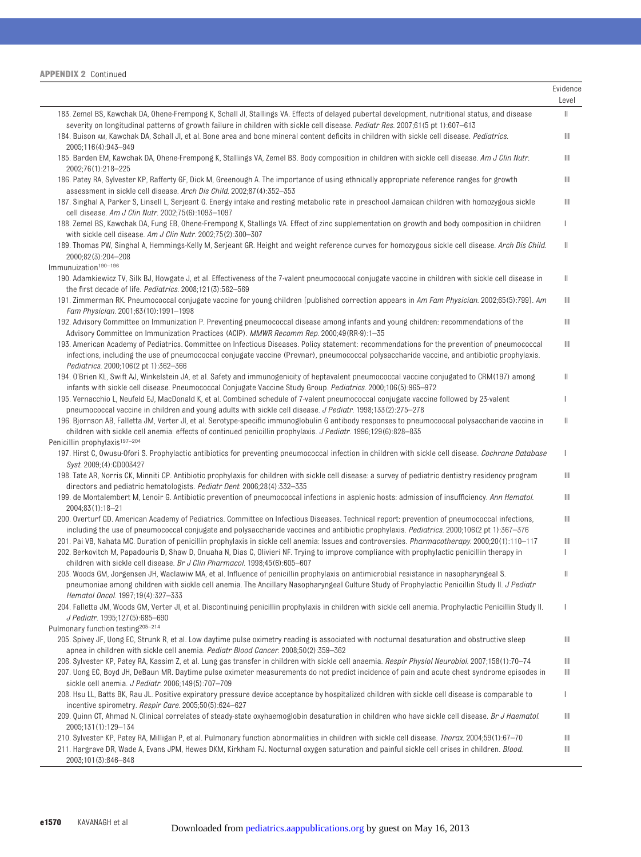|                                                                                                                                                                                                                                                                                                  | Evidence<br>Level |
|--------------------------------------------------------------------------------------------------------------------------------------------------------------------------------------------------------------------------------------------------------------------------------------------------|-------------------|
| 183. Zemel BS, Kawchak DA, Ohene-Frempong K, Schall JI, Stallings VA. Effects of delayed pubertal development, nutritional status, and disease<br>severity on longitudinal patterns of growth failure in children with sickle cell disease. Pediatr Res. 2007;61(5 pt 1):607-613                 | Ш                 |
| 184. Buison AM, Kawchak DA, Schall JI, et al. Bone area and bone mineral content deficits in children with sickle cell disease. Pediatrics.<br>2005;116(4):943-949                                                                                                                               | Ш                 |
| 185. Barden EM, Kawchak DA, Ohene-Frempong K, Stallings VA, Zemel BS. Body composition in children with sickle cell disease. Am J Clin Nutr.<br>2002;76(1):218-225                                                                                                                               | Ш                 |
| 186. Patey RA, Sylvester KP, Rafferty GF, Dick M, Greenough A. The importance of using ethnically appropriate reference ranges for growth<br>assessment in sickle cell disease. Arch Dis Child. 2002;87(4):352-353                                                                               | Ш                 |
| 187. Singhal A, Parker S, Linsell L, Serjeant G. Energy intake and resting metabolic rate in preschool Jamaican children with homozygous sickle<br>cell disease. Am J Clin Nutr. 2002;75(6):1093-1097                                                                                            | Ш                 |
| 188. Zemel BS, Kawchak DA, Fung EB, Ohene-Frempong K, Stallings VA. Effect of zinc supplementation on growth and body composition in children<br>with sickle cell disease. Am J Clin Nutr. 2002;75(2):300-307                                                                                    | L                 |
| 189. Thomas PW, Singhal A, Hemmings-Kelly M, Serjeant GR. Height and weight reference curves for homozygous sickle cell disease. Arch Dis Child.<br>2000;82(3):204-208                                                                                                                           | Ш                 |
| Immunuization <sup>190-196</sup>                                                                                                                                                                                                                                                                 |                   |
| 190. Adamkiewicz TV, Silk BJ, Howgate J, et al. Effectiveness of the 7-valent pneumococcal conjugate vaccine in children with sickle cell disease in<br>the first decade of life. Pediatrics. 2008;121(3):562-569                                                                                | Ш                 |
| 191. Zimmerman RK. Pneumococcal conjugate vaccine for young children [published correction appears in Am Fam Physician. 2002;65(5):799]. Am<br>Fam Physician. 2001;63(10):1991-1998                                                                                                              | Ш                 |
| 192. Advisory Committee on Immunization P. Preventing pneumococcal disease among infants and young children: recommendations of the<br>Advisory Committee on Immunization Practices (ACIP). MMWR Recomm Rep. 2000;49(RR-9):1-35                                                                  | Ш                 |
| 193. American Academy of Pediatrics. Committee on Infectious Diseases. Policy statement: recommendations for the prevention of pneumococcal<br>infections, including the use of pneumococcal conjugate vaccine (Prevnar), pneumococcal polysaccharide vaccine, and antibiotic prophylaxis.       | Ш                 |
| Pediatrics. 2000;106(2 pt 1):362-366<br>194. O'Brien KL, Swift AJ, Winkelstein JA, et al. Safety and immunogenicity of heptavalent pneumococcal vaccine conjugated to CRM(197) among                                                                                                             | Ш                 |
| infants with sickle cell disease. Pneumococcal Conjugate Vaccine Study Group. Pediatrics. 2000;106(5):965-972<br>195. Vernacchio L, Neufeld EJ, MacDonald K, et al. Combined schedule of 7-valent pneumococcal conjugate vaccine followed by 23-valent                                           |                   |
| pneumococcal vaccine in children and young adults with sickle cell disease. <i>J Pediatr</i> . 1998;133(2):275–278<br>196. Bjornson AB, Falletta JM, Verter Jl, et al. Serotype-specific immunoglobulin G antibody responses to pneumococcal polysaccharide vaccine in                           | Ш                 |
| children with sickle cell anemia: effects of continued penicillin prophylaxis. J Pediatr. 1996;129(6):828–835<br>Penicillin prophylaxis <sup>197-204</sup>                                                                                                                                       |                   |
| 197. Hirst C, Owusu-Ofori S. Prophylactic antibiotics for preventing pneumococcal infection in children with sickle cell disease. Cochrane Database<br>Syst. 2009; (4): CD003427                                                                                                                 | I                 |
| 198. Tate AR, Norris CK, Minniti CP. Antibiotic prophylaxis for children with sickle cell disease: a survey of pediatric dentistry residency program<br>directors and pediatric hematologists. Pediatr Dent. 2006;28(4):332-335                                                                  | Ш                 |
| 199. de Montalembert M, Lenoir G. Antibiotic prevention of pneumococcal infections in asplenic hosts: admission of insufficiency. Ann Hematol.<br>2004;83(1):18-21                                                                                                                               | Ш                 |
| 200. Overturf GD. American Academy of Pediatrics. Committee on Infectious Diseases. Technical report: prevention of pneumococcal infections,                                                                                                                                                     | Ш                 |
| including the use of pneumococcal conjugate and polysaccharide vaccines and antibiotic prophylaxis. Pediatrics. 2000;106(2 pt 1):367–376<br>201. Pai VB, Nahata MC. Duration of penicillin prophylaxis in sickle cell anemia: Issues and controversies. Pharmacotherapy. 2000;20(1):110-117      | Ш                 |
| 202. Berkovitch M, Papadouris D, Shaw D, Onuaha N, Dias C, Olivieri NF. Trying to improve compliance with prophylactic penicillin therapy in<br>children with sickle cell disease. Br J Clin Pharmacol. 1998;45(6):605-607                                                                       |                   |
| 203. Woods GM, Jorgensen JH, Waclawiw MA, et al. Influence of penicillin prophylaxis on antimicrobial resistance in nasopharyngeal S.<br>pneumoniae among children with sickle cell anemia. The Ancillary Nasopharyngeal Culture Study of Prophylactic Penicillin Study II. J Pediatr            | Ш                 |
| Hematol Oncol. 1997;19(4):327-333<br>204. Falletta JM, Woods GM, Verter JI, et al. Discontinuing penicillin prophylaxis in children with sickle cell anemia. Prophylactic Penicillin Study II.                                                                                                   | T                 |
| J Pediatr. 1995;127(5):685-690<br>Pulmonary function testing <sup>205-214</sup>                                                                                                                                                                                                                  |                   |
| 205. Spivey JF, Uong EC, Strunk R, et al. Low daytime pulse oximetry reading is associated with nocturnal desaturation and obstructive sleep<br>apnea in children with sickle cell anemia. <i>Pediatr Blood Cancer</i> . 2008;50(2):359-362                                                      | Ш                 |
| 206. Sylvester KP, Patey RA, Kassim Z, et al. Lung gas transfer in children with sickle cell anaemia. Respir Physiol Neurobiol. 2007;158(1):70-74<br>207. Uong EC, Boyd JH, DeBaun MR. Daytime pulse oximeter measurements do not predict incidence of pain and acute chest syndrome episodes in | Ш<br>Ш            |
| sickle cell anemia. J Pediatr. 2006;149(5):707-709<br>208. Hsu LL, Batts BK, Rau JL. Positive expiratory pressure device acceptance by hospitalized children with sickle cell disease is comparable to                                                                                           | I.                |
| incentive spirometry. Respir Care. 2005;50(5):624-627<br>209. Quinn CT, Ahmad N. Clinical correlates of steady-state oxyhaemoglobin desaturation in children who have sickle cell disease. Br J Haematol.                                                                                        | Ш                 |
| 2005;131(1):129-134<br>210. Sylvester KP, Patey RA, Milligan P, et al. Pulmonary function abnormalities in children with sickle cell disease. Thorax. 2004;59(1):67-70                                                                                                                           | Ш                 |
| 211. Hargrave DR, Wade A, Evans JPM, Hewes DKM, Kirkham FJ. Nocturnal oxygen saturation and painful sickle cell crises in children. <i>Blood.</i><br>2003;101(3):846-848                                                                                                                         | Ш                 |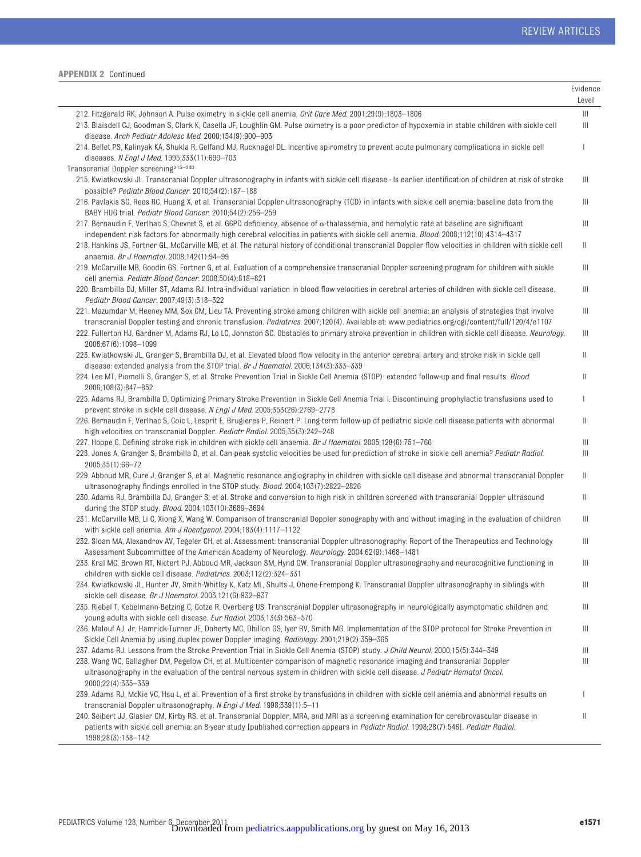|                                                                                                                                                                                                                                                                                                         | Evidence<br>Level |
|---------------------------------------------------------------------------------------------------------------------------------------------------------------------------------------------------------------------------------------------------------------------------------------------------------|-------------------|
| 212. Fitzgerald RK, Johnson A. Pulse oximetry in sickle cell anemia. Crit Care Med. 2001;29(9):1803-1806                                                                                                                                                                                                | Ш                 |
| 213. Blaisdell CJ, Goodman S, Clark K, Casella JF, Loughlin GM. Pulse oximetry is a poor predictor of hypoxemia in stable children with sickle cell<br>disease. Arch Pediatr Adolesc Med. 2000;154(9):900-903                                                                                           | Ш                 |
| 214. Bellet PS, Kalinyak KA, Shukla R, Gelfand MJ, Rucknagel DL. Incentive spirometry to prevent acute pulmonary complications in sickle cell<br>diseases. N Engl J Med. 1995;333(11):699-703                                                                                                           | T                 |
| Transcranial Doppler screening <sup>215-240</sup><br>215. Kwiatkowski JL. Transcranial Doppler ultrasonography in infants with sickle cell disease - Is earlier identification of children at risk of stroke<br>possible? Pediatr Blood Cancer. 2010;54(2):187-188                                      | Ш                 |
| 216. Pavlakis SG, Rees RC, Huang X, et al. Transcranial Doppler ultrasonography (TCD) in infants with sickle cell anemia: baseline data from the<br>BABY HUG trial. Pediatr Blood Cancer. 2010;54(2):256-259                                                                                            | Ш                 |
| 217. Bernaudin F, Verlhac S, Chevret S, et al. G6PD deficiency, absence of $\alpha$ -thalassemia, and hemolytic rate at baseline are significant<br>independent risk factors for abnormally high cerebral velocities in patients with sickle cell anemia. Blood. 2008;112(10):4314-4317                 | Ш                 |
| 218. Hankins JS, Fortner GL, McCarville MB, et al. The natural history of conditional transcranial Doppler flow velocities in children with sickle cell<br>anaemia. Br J Haematol. 2008;142(1):94-99                                                                                                    | Ш                 |
| 219. McCarville MB, Goodin GS, Fortner G, et al. Evaluation of a comprehensive transcranial Doppler screening program for children with sickle<br>cell anemia. Pediatr Blood Cancer. 2008;50(4):818-821                                                                                                 | Ш                 |
| 220. Brambilla DJ, Miller ST, Adams RJ. Intra-individual variation in blood flow velocities in cerebral arteries of children with sickle cell disease.<br>Pediatr Blood Cancer. 2007;49(3):318-322                                                                                                      | Ш                 |
| 221. Mazumdar M, Heeney MM, Sox CM, Lieu TA. Preventing stroke among children with sickle cell anemia: an analysis of strategies that involve<br>transcranial Doppler testing and chronic transfusion. Pediatrics. 2007;120(4). Available at: www.pediatrics.org/cgi/content/full/120/4/e1107           | Ш                 |
| 222. Fullerton HJ, Gardner M, Adams RJ, Lo LC, Johnston SC. Obstacles to primary stroke prevention in children with sickle cell disease. Neurology.<br>2006;67(6):1098-1099                                                                                                                             | Ш                 |
| 223. Kwiatkowski JL, Granger S, Brambilla DJ, et al. Elevated blood flow velocity in the anterior cerebral artery and stroke risk in sickle cell<br>disease: extended analysis from the STOP trial. Br J Haematol. 2006;134(3):333–339                                                                  | Ш                 |
| 224. Lee MT, Piomelli S, Granger S, et al. Stroke Prevention Trial in Sickle Cell Anemia (STOP): extended follow-up and final results. <i>Blood.</i><br>2006;108(3):847-852                                                                                                                             | $\mathbb{I}$      |
| 225. Adams RJ, Brambilla D, Optimizing Primary Stroke Prevention in Sickle Cell Anemia Trial I. Discontinuing prophylactic transfusions used to<br>prevent stroke in sickle cell disease. N Engl J Med. 2005;353(26):2769-2778                                                                          | J.                |
| 226. Bernaudin F, Verlhac S, Coic L, Lesprit E, Brugieres P, Reinert P. Long-term follow-up of pediatric sickle cell disease patients with abnormal<br>high velocities on transcranial Doppler. Pediatr Radiol. 2005;35(3):242-248                                                                      | Ш                 |
| 227. Hoppe C. Defining stroke risk in children with sickle cell anaemia. Br J Haematol. 2005;128(6):751-766<br>228. Jones A, Granger S, Brambilla D, et al. Can peak systolic velocities be used for prediction of stroke in sickle cell anemia? Pediatr Radiol.<br>2005;35(1):66-72                    | Ш<br>Ш            |
| 229. Abboud MR, Cure J, Granger S, et al. Magnetic resonance angiography in children with sickle cell disease and abnormal transcranial Doppler<br>ultrasonography findings enrolled in the STOP study. <i>Blood.</i> 2004;103(7):2822-2826                                                             | Ш                 |
| 230. Adams RJ, Brambilla DJ, Granger S, et al. Stroke and conversion to high risk in children screened with transcranial Doppler ultrasound<br>during the STOP study. Blood. 2004;103(10):3689-3694                                                                                                     | Ш                 |
| 231. McCarville MB, Li C, Xiong X, Wang W. Comparison of transcranial Doppler sonography with and without imaging in the evaluation of children<br>with sickle cell anemia. Am J Roentgenol. $2004:183(4):1117-1122$                                                                                    | Ш                 |
| 232. Sloan MA, Alexandrov AV, Tegeler CH, et al. Assessment: transcranial Doppler ultrasonography: Report of the Therapeutics and Technology<br>Assessment Subcommittee of the American Academy of Neurology. Neurology. 2004;62(9):1468-1481                                                           | Ш                 |
| 233. Kral MC, Brown RT, Nietert PJ, Abboud MR, Jackson SM, Hynd GW. Transcranial Doppler ultrasonography and neurocognitive functioning in<br>children with sickle cell disease. Pediatrics. 2003;112(2):324-331                                                                                        | Ш                 |
| 234. Kwiatkowski JL, Hunter JV, Smith-Whitley K, Katz ML, Shults J, Ohene-Frempong K. Transcranial Doppler ultrasonography in siblings with<br>sickle cell disease. Br J Haematol. 2003;121(6):932-937                                                                                                  | Ш                 |
| 235. Riebel T, Kebelmann-Betzing C, Gotze R, Overberg US. Transcranial Doppler ultrasonography in neurologically asymptomatic children and<br>young adults with sickle cell disease. Eur Radiol. 2003;13(3):563-570                                                                                     | Ш                 |
| 236. Malouf AJ, Jr, Hamrick-Turner JE, Doherty MC, Dhillon GS, Iyer RV, Smith MG. Implementation of the STOP protocol for Stroke Prevention in<br>Sickle Cell Anemia by using duplex power Doppler imaging. Radiology. 2001;219(2):359-365                                                              | Ш                 |
| 237. Adams RJ. Lessons from the Stroke Prevention Trial in Sickle Cell Anemia (STOP) study. J Child Neurol. 2000;15(5):344-349                                                                                                                                                                          | Ш                 |
| 238. Wang WC, Gallagher DM, Pegelow CH, et al. Multicenter comparison of magnetic resonance imaging and transcranial Doppler<br>ultrasonography in the evaluation of the central nervous system in children with sickle cell disease. J Pediatr Hematol Oncol.<br>2000;22(4):335-339                    | Ш                 |
| 239. Adams RJ, McKie VC, Hsu L, et al. Prevention of a first stroke by transfusions in children with sickle cell anemia and abnormal results on<br>transcranial Doppler ultrasonography. N Engl J Med. 1998;339(1):5-11                                                                                 | I                 |
| 240. Seibert JJ, Glasier CM, Kirby RS, et al. Transcranial Doppler, MRA, and MRI as a screening examination for cerebrovascular disease in<br>patients with sickle cell anemia: an 8-year study [published correction appears in Pediatr Radiol. 1998;28(7):546]. Pediatr Radiol.<br>1998;28(3):138-142 | Ш                 |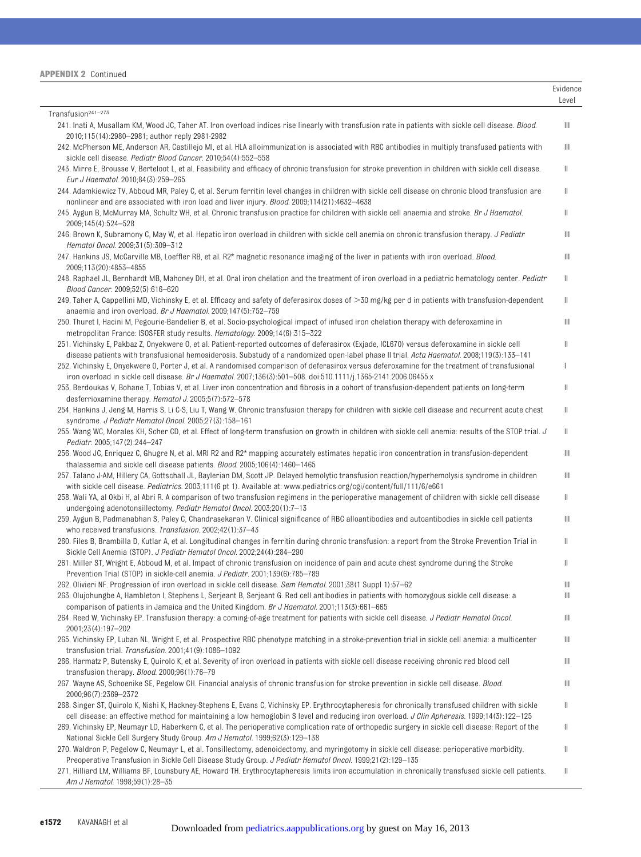| <b>APPENDIX 2 Continued</b> |  |  |
|-----------------------------|--|--|
|-----------------------------|--|--|

|                                                                                                                                                                                                                                                                                                   | Evidence<br>Level |
|---------------------------------------------------------------------------------------------------------------------------------------------------------------------------------------------------------------------------------------------------------------------------------------------------|-------------------|
| Transfusion <sup>241-273</sup>                                                                                                                                                                                                                                                                    |                   |
| 241. Inati A, Musallam KM, Wood JC, Taher AT. Iron overload indices rise linearly with transfusion rate in patients with sickle cell disease. Blood.<br>2010;115(14):2980-2981; author reply 2981-2982                                                                                            | Ш                 |
| 242. McPherson ME, Anderson AR, Castillejo MI, et al. HLA alloimmunization is associated with RBC antibodies in multiply transfused patients with<br>sickle cell disease. Pediatr Blood Cancer. 2010;54(4):552-558                                                                                | $\mathbb{I}$      |
| 243. Mirre E, Brousse V, Berteloot L, et al. Feasibility and efficacy of chronic transfusion for stroke prevention in children with sickle cell disease.<br>Eur J Haematol. 2010;84(3):259-265                                                                                                    | Ш                 |
| 244. Adamkiewicz TV, Abboud MR, Paley C, et al. Serum ferritin level changes in children with sickle cell disease on chronic blood transfusion are<br>nonlinear and are associated with iron load and liver injury. Blood. 2009;114(21):4632-4638                                                 | Ш                 |
| 245. Aygun B, McMurray MA, Schultz WH, et al. Chronic transfusion practice for children with sickle cell anaemia and stroke. Br J Haematol.<br>2009;145(4):524-528                                                                                                                                | $\mathbb I$       |
| 246. Brown K, Subramony C, May W, et al. Hepatic iron overload in children with sickle cell anemia on chronic transfusion therapy. <i>J Pediatr</i><br>Hematol Oncol. 2009;31(5):309-312                                                                                                          | Ш                 |
| 247. Hankins JS, McCarville MB, Loeffler RB, et al. R2* magnetic resonance imaging of the liver in patients with iron overload. Blood.<br>2009;113(20):4853-4855                                                                                                                                  | Ш                 |
| 248. Raphael JL, Bernhardt MB, Mahoney DH, et al. Oral iron chelation and the treatment of iron overload in a pediatric hematology center. Pediatr<br>Blood Cancer. 2009;52(5):616-620                                                                                                            | Ш                 |
| 249. Taher A, Cappellini MD, Vichinsky E, et al. Efficacy and safety of deferasirox doses of >30 mg/kg per d in patients with transfusion-dependent<br>anaemia and iron overload. Br J Haematol. 2009;147(5):752-759                                                                              | Ш                 |
| 250. Thuret I, Hacini M, Pegourie-Bandelier B, et al. Socio-psychological impact of infused iron chelation therapy with deferoxamine in<br>metropolitan France: ISOSFER study results. Hematology. 2009;14(6):315-322                                                                             | Ш                 |
| 251. Vichinsky E, Pakbaz Z, Onyekwere O, et al. Patient-reported outcomes of deferasirox (Exjade, ICL670) versus deferoxamine in sickle cell<br>disease patients with transfusional hemosiderosis. Substudy of a randomized open-label phase II trial. Acta Haematol. 2008;119(3):133-141         | Ш                 |
| 252. Vichinsky E, Onyekwere O, Porter J, et al. A randomised comparison of deferasirox versus deferoxamine for the treatment of transfusional<br>iron overload in sickle cell disease. Br J Haematol. 2007;136(3):501-508. doi:510.1111/j.1365-2141.2006.06455.x                                  | I                 |
| 253. Berdoukas V, Bohane T, Tobias V, et al. Liver iron concentration and fibrosis in a cohort of transfusion-dependent patients on long-term<br>desferrioxamine therapy. Hematol J. 2005;5(7):572-578                                                                                            | Ш                 |
| 254. Hankins J, Jeng M, Harris S, Li C-S, Liu T, Wang W. Chronic transfusion therapy for children with sickle cell disease and recurrent acute chest<br>syndrome. J Pediatr Hematol Oncol. 2005;27(3):158-161                                                                                     | $\parallel$       |
| 255. Wang WC, Morales KH, Scher CD, et al. Effect of long-term transfusion on growth in children with sickle cell anemia: results of the STOP trial. J<br>Pediatr. 2005;147(2):244-247                                                                                                            | Ш                 |
| 256. Wood JC, Enriquez C, Ghugre N, et al. MRI R2 and R2* mapping accurately estimates hepatic iron concentration in transfusion-dependent<br>thalassemia and sickle cell disease patients. <i>Blood.</i> 2005;106(4):1460-1465                                                                   | Ш                 |
| 257. Talano J-AM, Hillery CA, Gottschall JL, Baylerian DM, Scott JP. Delayed hemolytic transfusion reaction/hyperhemolysis syndrome in children<br>with sickle cell disease. Pediatrics. 2003;111(6 pt 1). Available at: www.pediatrics.org/cgi/content/full/111/6/e661                           | $\mathbb{H}$      |
| 258. Wali YA, al Okbi H, al Abri R. A comparison of two transfusion regimens in the perioperative management of children with sickle cell disease<br>undergoing adenotonsillectomy. Pediatr Hematol Oncol. 2003;20(1):7-13                                                                        | Ш                 |
| 259. Aygun B, Padmanabhan S, Paley C, Chandrasekaran V. Clinical significance of RBC alloantibodies and autoantibodies in sickle cell patients                                                                                                                                                    | Ш                 |
| who received transfusions. Transfusion. 2002;42(1):37-43<br>260. Files B, Brambilla D, Kutlar A, et al. Longitudinal changes in ferritin during chronic transfusion: a report from the Stroke Prevention Trial in                                                                                 | $\parallel$       |
| Sickle Cell Anemia (STOP). J Pediatr Hematol Oncol. 2002;24(4):284-290<br>261. Miller ST, Wright E, Abboud M, et al. Impact of chronic transfusion on incidence of pain and acute chest syndrome during the Stroke                                                                                | Ш                 |
| Prevention Trial (STOP) in sickle-cell anemia. J Pediatr. 2001;139(6):785-789<br>262. Olivieri NF. Progression of iron overload in sickle cell disease. Sem Hematol. 2001;38(1 Suppl 1):57–62                                                                                                     | Ш                 |
| 263. Olujohungbe A, Hambleton I, Stephens L, Serjeant B, Serjeant G. Red cell antibodies in patients with homozygous sickle cell disease: a<br>comparison of patients in Jamaica and the United Kingdom. <i>Br J Haematol</i> . 2001;113(3):661–665                                               | Ш                 |
| 264. Reed W, Vichinsky EP. Transfusion therapy: a coming-of-age treatment for patients with sickle cell disease. J Pediatr Hematol Oncol.<br>2001;23(4):197-202                                                                                                                                   | Ш                 |
| 265. Vichinsky EP, Luban NL, Wright E, et al. Prospective RBC phenotype matching in a stroke-prevention trial in sickle cell anemia: a multicenter<br>transfusion trial. Transfusion. 2001;41(9):1086-1092                                                                                        | Ш                 |
| 266. Harmatz P, Butensky E, Quirolo K, et al. Severity of iron overload in patients with sickle cell disease receiving chronic red blood cell<br>transfusion therapy. <i>Blood.</i> $2000;96(1):76-79$                                                                                            | Ш                 |
| 267. Wayne AS, Schoenike SE, Pegelow CH. Financial analysis of chronic transfusion for stroke prevention in sickle cell disease. Blood.<br>2000;96(7):2369-2372                                                                                                                                   | Ш                 |
| 268. Singer ST, Quirolo K, Nishi K, Hackney-Stephens E, Evans C, Vichinsky EP. Erythrocytapheresis for chronically transfused children with sickle<br>cell disease: an effective method for maintaining a low hemoglobin S level and reducing iron overload. J Clin Apheresis. 1999;14(3):122–125 | Ш                 |
| 269. Vichinsky EP, Neumayr LD, Haberkern C, et al. The perioperative complication rate of orthopedic surgery in sickle cell disease: Report of the<br>National Sickle Cell Surgery Study Group. Am J Hematol. 1999;62(3):129–138                                                                  | Ш                 |
| 270. Waldron P, Pegelow C, Neumayr L, et al. Tonsillectomy, adenoidectomy, and myringotomy in sickle cell disease: perioperative morbidity.<br>Preoperative Transfusion in Sickle Cell Disease Study Group. J Pediatr Hematol Oncol. 1999;21(2):129-135                                           | Ш                 |
| 271. Hilliard LM, Williams BF, Lounsbury AE, Howard TH. Erythrocytapheresis limits iron accumulation in chronically transfused sickle cell patients.<br>Am J Hematol. 1998;59(1):28-35                                                                                                            | Ш                 |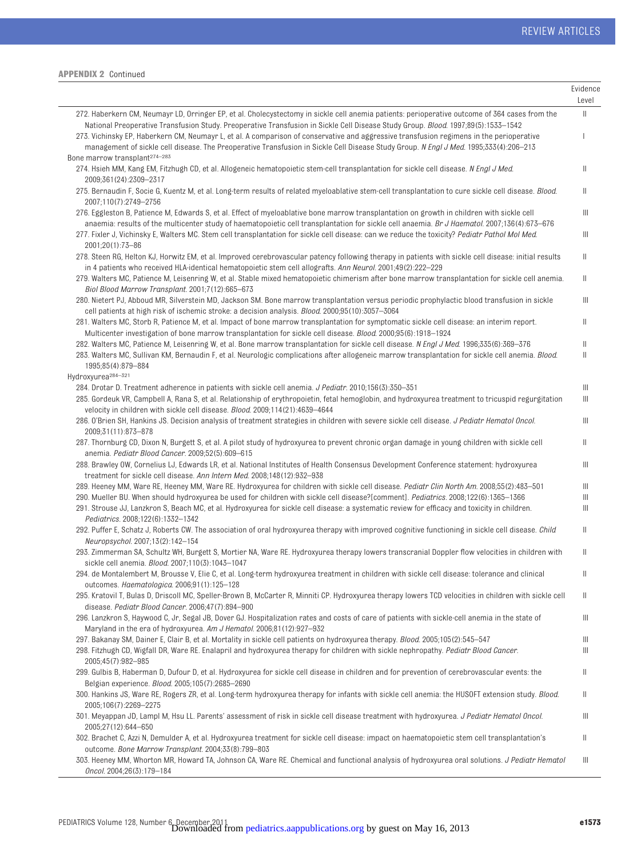|                                                                                                                                                                                                                                                                                                                           | Evidence<br>Level |
|---------------------------------------------------------------------------------------------------------------------------------------------------------------------------------------------------------------------------------------------------------------------------------------------------------------------------|-------------------|
| 272. Haberkern CM, Neumayr LD, Orringer EP, et al. Cholecystectomy in sickle cell anemia patients: perioperative outcome of 364 cases from the                                                                                                                                                                            | $\parallel$       |
| National Preoperative Transfusion Study. Preoperative Transfusion in Sickle Cell Disease Study Group. Blood. 1997;89(5):1533-1542<br>273. Vichinsky EP, Haberkern CM, Neumayr L, et al. A comparison of conservative and aggressive transfusion regimens in the perioperative                                             | T                 |
| management of sickle cell disease. The Preoperative Transfusion in Sickle Cell Disease Study Group. N Engl J Med. 1995;333(4):206-213<br>Bone marrow transplant <sup>274-283</sup>                                                                                                                                        |                   |
| 274. Hsieh MM, Kang EM, Fitzhugh CD, et al. Allogeneic hematopoietic stem-cell transplantation for sickle cell disease. N Engl J Med.<br>2009;361(24):2309-2317                                                                                                                                                           | Ш                 |
| 275. Bernaudin F, Socie G, Kuentz M, et al. Long-term results of related myeloablative stem-cell transplantation to cure sickle cell disease. Blood.<br>2007;110(7):2749-2756                                                                                                                                             | Ш                 |
| 276. Eggleston B, Patience M, Edwards S, et al. Effect of myeloablative bone marrow transplantation on growth in children with sickle cell<br>anaemia: results of the multicenter study of haematopoietic cell transplantation for sickle cell anaemia. Br J Haematol. 2007;136(4):673-676                                | Ш                 |
| 277. Fixler J, Vichinsky E, Walters MC. Stem cell transplantation for sickle cell disease: can we reduce the toxicity? Pediatr Pathol Mol Med.<br>2001;20(1):73-86                                                                                                                                                        | Ш                 |
| 278. Steen RG, Helton KJ, Horwitz EM, et al. Improved cerebrovascular patency following therapy in patients with sickle cell disease: initial results<br>in 4 patients who received HLA-identical hematopoietic stem cell allografts. Ann Neurol. 2001;49(2):222–229                                                      | Ш                 |
| 279. Walters MC, Patience M, Leisenring W, et al. Stable mixed hematopoietic chimerism after bone marrow transplantation for sickle cell anemia.<br>Biol Blood Marrow Transplant. 2001;7(12):665-673                                                                                                                      | Ш                 |
| 280. Nietert PJ, Abboud MR, Silverstein MD, Jackson SM. Bone marrow transplantation versus periodic prophylactic blood transfusion in sickle<br>cell patients at high risk of ischemic stroke: a decision analysis. <i>Blood.</i> 2000;95(10):3057-3064                                                                   | Ш                 |
| 281. Walters MC, Storb R, Patience M, et al. Impact of bone marrow transplantation for symptomatic sickle cell disease: an interim report.<br>Multicenter investigation of bone marrow transplantation for sickle cell disease. <i>Blood.</i> 2000;95(6):1918–1924                                                        | Ш                 |
| 282. Walters MC, Patience M, Leisenring W, et al. Bone marrow transplantation for sickle cell disease. N Engl J Med. 1996;335(6):369–376                                                                                                                                                                                  | Ш                 |
| 283. Walters MC, Sullivan KM, Bernaudin F, et al. Neurologic complications after allogeneic marrow transplantation for sickle cell anemia. Blood.<br>1995:85(4):879-884<br>Hydroxyurea <sup>284-321</sup>                                                                                                                 | Ш                 |
| 284. Drotar D. Treatment adherence in patients with sickle cell anemia. <i>J Pediatr</i> : 2010;156(3):350-351                                                                                                                                                                                                            | Ш                 |
| 285. Gordeuk VR, Campbell A, Rana S, et al. Relationship of erythropoietin, fetal hemoglobin, and hydroxyurea treatment to tricuspid regurgitation<br>velocity in children with sickle cell disease. Blood. 2009;114(21):4639-4644                                                                                        | Ш                 |
| 286. O'Brien SH, Hankins JS. Decision analysis of treatment strategies in children with severe sickle cell disease. J Pediatr Hematol Oncol.<br>2009;31(11):873-878                                                                                                                                                       | $\mathbb{H}$      |
| 287. Thornburg CD, Dixon N, Burgett S, et al. A pilot study of hydroxyurea to prevent chronic organ damage in young children with sickle cell<br>anemia. Pediatr Blood Cancer. 2009;52(5):609-615                                                                                                                         | Ш                 |
| 288. Brawley OW, Cornelius LJ, Edwards LR, et al. National Institutes of Health Consensus Development Conference statement: hydroxyurea<br>treatment for sickle cell disease. Ann Intern Med. 2008;148(12):932-938                                                                                                        | Ш                 |
| 289. Heeney MM, Ware RE, Heeney MM, Ware RE. Hydroxyurea for children with sickle cell disease. Pediatr Clin North Am. 2008;55(2):483-501                                                                                                                                                                                 | Ш                 |
| 290. Mueller BU. When should hydroxyurea be used for children with sickle cell disease?[comment]. Pediatrics. 2008;122(6):1365-1366<br>291. Strouse JJ, Lanzkron S, Beach MC, et al. Hydroxyurea for sickle cell disease: a systematic review for efficacy and toxicity in children.<br>Pediatrics. 2008;122(6):1332-1342 | Ш<br>Ш            |
| 292. Puffer E, Schatz J, Roberts CW. The association of oral hydroxyurea therapy with improved cognitive functioning in sickle cell disease. Child<br>Neuropsychol. 2007;13(2):142-154                                                                                                                                    | Ш                 |
| 293. Zimmerman SA, Schultz WH, Burgett S, Mortier NA, Ware RE. Hydroxyurea therapy lowers transcranial Doppler flow velocities in children with<br>sickle cell anemia. <i>Blood.</i> 2007;110(3):1043-1047                                                                                                                | Ш                 |
| 294. de Montalembert M, Brousse V, Elie C, et al. Long-term hydroxyurea treatment in children with sickle cell disease: tolerance and clinical<br>outcomes. Haematologica. 2006;91(1):125-128                                                                                                                             | Ш                 |
| 295. Kratovil T, Bulas D, Driscoll MC, Speller-Brown B, McCarter R, Minniti CP. Hydroxyurea therapy lowers TCD velocities in children with sickle cell<br>disease. Pediatr Blood Cancer. 2006;47(7):894-900                                                                                                               | Ш                 |
| 296. Lanzkron S, Haywood C, Jr, Segal JB, Dover GJ. Hospitalization rates and costs of care of patients with sickle-cell anemia in the state of<br>Maryland in the era of hydroxyurea. Am J Hematol. 2006;81(12):927-932                                                                                                  | Ш                 |
| 297. Bakanay SM, Dainer E, Clair B, et al. Mortality in sickle cell patients on hydroxyurea therapy. <i>Blood.</i> 2005;105(2):545–547                                                                                                                                                                                    | Ш                 |
| 298. Fitzhugh CD, Wigfall DR, Ware RE. Enalapril and hydroxyurea therapy for children with sickle nephropathy. Pediatr Blood Cancer.<br>2005;45(7):982-985                                                                                                                                                                | Ш                 |
| 299. Gulbis B, Haberman D, Dufour D, et al. Hydroxyurea for sickle cell disease in children and for prevention of cerebrovascular events: the<br>Belgian experience. Blood. 2005;105(7):2685-2690                                                                                                                         | Ш                 |
| 300. Hankins JS, Ware RE, Rogers ZR, et al. Long-term hydroxyurea therapy for infants with sickle cell anemia: the HUSOFT extension study. Blood.<br>2005;106(7):2269-2275                                                                                                                                                | Ш                 |
| 301. Meyappan JD, Lampl M, Hsu LL. Parents' assessment of risk in sickle cell disease treatment with hydroxyurea. J Pediatr Hematol Oncol.<br>2005;27(12):644-650                                                                                                                                                         | Ш                 |
| 302. Brachet C, Azzi N, Demulder A, et al. Hydroxyurea treatment for sickle cell disease: impact on haematopoietic stem cell transplantation's<br>outcome. Bone Marrow Transplant. 2004;33(8):799-803                                                                                                                     | Ш                 |
| 303. Heeney MM, Whorton MR, Howard TA, Johnson CA, Ware RE. Chemical and functional analysis of hydroxyurea oral solutions. J Pediatr Hematol<br>Oncol. 2004;26(3):179-184                                                                                                                                                | Ш                 |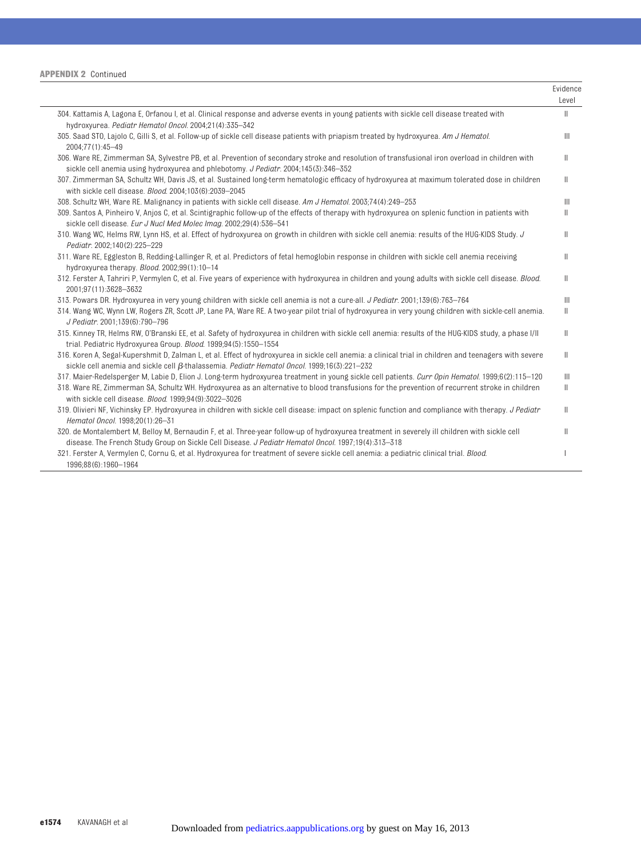|                                                                                                                                                                                                                                                              | Evidence<br>Level                     |
|--------------------------------------------------------------------------------------------------------------------------------------------------------------------------------------------------------------------------------------------------------------|---------------------------------------|
| 304. Kattamis A, Lagona E, Orfanou I, et al. Clinical response and adverse events in young patients with sickle cell disease treated with<br>hydroxyurea. Pediatr Hematol Oncol. 2004;21(4):335-342                                                          | $\mathbb{I}$                          |
| 305. Saad STO, Lajolo C, Gilli S, et al. Follow-up of sickle cell disease patients with priapism treated by hydroxyurea. Am J Hematol.<br>2004;77(1):45-49                                                                                                   | $\mathbb{H}$                          |
| 306. Ware RE, Zimmerman SA, Sylvestre PB, et al. Prevention of secondary stroke and resolution of transfusional iron overload in children with<br>sickle cell anemia using hydroxyurea and phlebotomy. J Pediatr. 2004;145(3):346-352                        | $\mathbb{I}$                          |
| 307. Zimmerman SA, Schultz WH, Davis JS, et al. Sustained long-term hematologic efficacy of hydroxyurea at maximum tolerated dose in children<br>with sickle cell disease. Blood. 2004;103(6):2039-2045                                                      | $\mathbb{I}$                          |
| 308. Schultz WH, Ware RE. Malignancy in patients with sickle cell disease. Am J Hematol. 2003;74(4):249-253                                                                                                                                                  | $\mathbb{H}$                          |
| 309. Santos A, Pinheiro V, Anjos C, et al. Scintigraphic follow-up of the effects of therapy with hydroxyurea on splenic function in patients with<br>sickle cell disease. Eur J Nucl Med Molec Imag. 2002;29(4):536-541                                     | Ш                                     |
| 310. Wang WC, Helms RW, Lynn HS, et al. Effect of hydroxyurea on growth in children with sickle cell anemia: results of the HUG-KIDS Study. J<br>Pediatr. 2002;140(2):225-229                                                                                | H.                                    |
| 311. Ware RE, Eggleston B, Redding-Lallinger R, et al. Predictors of fetal hemoglobin response in children with sickle cell anemia receiving<br>hydroxyurea therapy. Blood. 2002;99(1):10-14                                                                 | Ш                                     |
| 312. Ferster A, Tahriri P, Vermylen C, et al. Five years of experience with hydroxyurea in children and young adults with sickle cell disease. Blood.<br>2001;97(11):3628-3632                                                                               | $\mathbb{I}$                          |
| 313. Powars DR. Hydroxyurea in very young children with sickle cell anemia is not a cure-all. J Pediatr. 2001;139(6):763-764                                                                                                                                 | $\mathbb{H}$                          |
| 314. Wang WC, Wynn LW, Rogers ZR, Scott JP, Lane PA, Ware RE. A two-year pilot trial of hydroxyurea in very young children with sickle-cell anemia.<br>J Pediatr. 2001;139(6):790-796                                                                        | Ш                                     |
| 315. Kinney TR, Helms RW, O'Branski EE, et al. Safety of hydroxyurea in children with sickle cell anemia: results of the HUG-KIDS study, a phase I/II<br>trial. Pediatric Hydroxyurea Group. Blood. 1999;94(5):1550-1554                                     | Ш                                     |
| 316. Koren A, Segal-Kupershmit D, Zalman L, et al. Effect of hydroxyurea in sickle cell anemia: a clinical trial in children and teenagers with severe<br>sickle cell anemia and sickle cell $\beta$ -thalassemia. Pediatr Hematol Oncol. 1999;16(3):221-232 | Ш                                     |
| 317. Maier-Redelsperger M, Labie D, Elion J. Long-term hydroxyurea treatment in young sickle cell patients. Curr Opin Hematol. 1999;6(2):115-120                                                                                                             | $\begin{array}{c} \hline \end{array}$ |
| 318. Ware RE, Zimmerman SA, Schultz WH. Hydroxyurea as an alternative to blood transfusions for the prevention of recurrent stroke in children<br>with sickle cell disease. Blood. 1999:94(9):3022-3026                                                      | $\mathbb{I}$                          |
| 319. Olivieri NF, Vichinsky EP. Hydroxyurea in children with sickle cell disease: impact on splenic function and compliance with therapy. J Pediatr<br>Hematol Oncol. 1998;20(1):26-31                                                                       | $\mathbb{I}$                          |
| 320. de Montalembert M, Belloy M, Bernaudin F, et al. Three-year follow-up of hydroxyurea treatment in severely ill children with sickle cell<br>disease. The French Study Group on Sickle Cell Disease. J Pediatr Hematol Oncol. 1997;19(4):313-318         | Ш                                     |
| 321. Ferster A, Vermylen C, Cornu G, et al. Hydroxyurea for treatment of severe sickle cell anemia: a pediatric clinical trial. Blood.<br>1996:88(6):1960-1964                                                                                               |                                       |